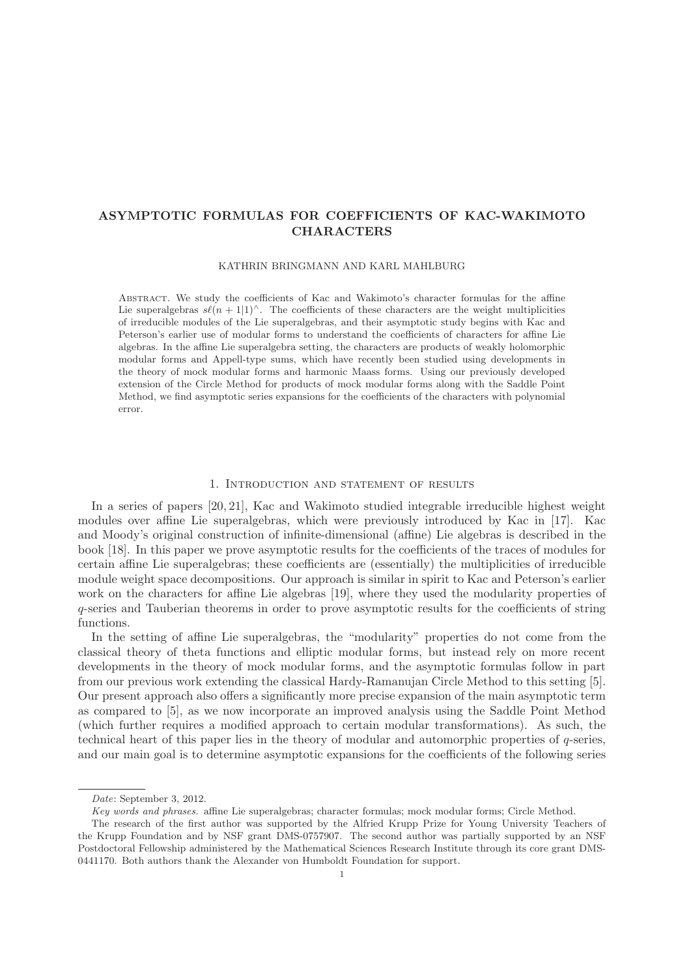# **ASYMPTOTIC FORMULAS FOR COEFFICIENTS OF KAC-WAKIMOTO CHARACTERS**

KATHRIN BRINGMANN AND KARL MAHLBURG

Abstract. We study the coefficients of Kac and Wakimoto's character formulas for the affine Lie superalgebras  $s\ell(n+1|1)^\wedge$ . The coefficients of these characters are the weight multiplicities of irreducible modules of the Lie superalgebras, and their asymptotic study begins with Kac and Peterson's earlier use of modular forms to understand the coefficients of characters for affine Lie algebras. In the affine Lie superalgebra setting, the characters are products of weakly holomorphic modular forms and Appell-type sums, which have recently been studied using developments in the theory of mock modular forms and harmonic Maass forms. Using our previously developed extension of the Circle Method for products of mock modular forms along with the Saddle Point Method, we find asymptotic series expansions for the coefficients of the characters with polynomial error.

### 1. Introduction and statement of results

In a series of papers [20, 21], Kac and Wakimoto studied integrable irreducible highest weight modules over affine Lie superalgebras, which were previously introduced by Kac in [17]. Kac and Moody's original construction of infinite-dimensional (affine) Lie algebras is described in the book [18]. In this paper we prove asymptotic results for the coefficients of the traces of modules for certain affine Lie superalgebras; these coefficients are (essentially) the multiplicities of irreducible module weight space decompositions. Our approach is similar in spirit to Kac and Peterson's earlier work on the characters for affine Lie algebras [19], where they used the modularity properties of q-series and Tauberian theorems in order to prove asymptotic results for the coefficients of string functions.

In the setting of affine Lie superalgebras, the "modularity" properties do not come from the classical theory of theta functions and elliptic modular forms, but instead rely on more recent developments in the theory of mock modular forms, and the asymptotic formulas follow in part from our previous work extending the classical Hardy-Ramanujan Circle Method to this setting [5]. Our present approach also offers a significantly more precise expansion of the main asymptotic term as compared to [5], as we now incorporate an improved analysis using the Saddle Point Method (which further requires a modified approach to certain modular transformations). As such, the technical heart of this paper lies in the theory of modular and automorphic properties of q-series, and our main goal is to determine asymptotic expansions for the coefficients of the following series

Date: September 3, 2012.

Key words and phrases. affine Lie superalgebras; character formulas; mock modular forms; Circle Method.

The research of the first author was supported by the Alfried Krupp Prize for Young University Teachers of the Krupp Foundation and by NSF grant DMS-0757907. The second author was partially supported by an NSF Postdoctoral Fellowship administered by the Mathematical Sciences Research Institute through its core grant DMS-0441170. Both authors thank the Alexander von Humboldt Foundation for support.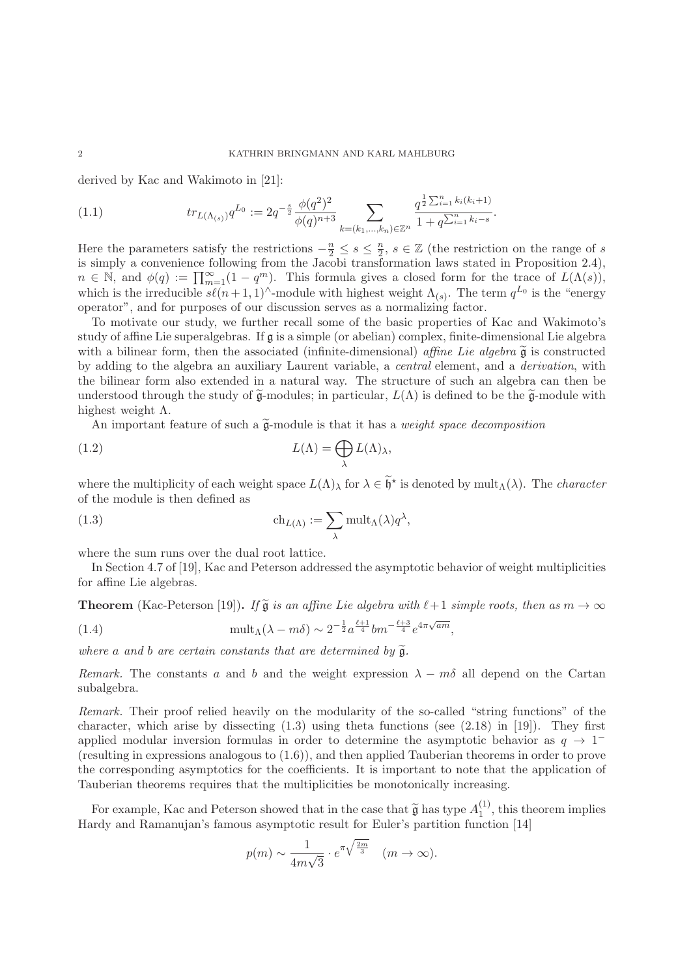derived by Kac and Wakimoto in [21]:

$$
(1.1) \t tr_{L(\Lambda_{(s)})} q^{L_0} := 2q^{-\frac{s}{2}} \frac{\phi(q^2)^2}{\phi(q)^{n+3}} \sum_{k=(k_1,\ldots,k_n)\in\mathbb{Z}^n} \frac{q^{\frac{1}{2}\sum_{i=1}^n k_i(k_i+1)}}{1+q^{\sum_{i=1}^n k_i-s}}.
$$

Here the parameters satisfy the restrictions  $-\frac{n}{2} \leq s \leq \frac{n}{2}$ ,  $s \in \mathbb{Z}$  (the restriction on the range of s is simply a convenience following from the Jacobi transformation laws stated in Proposition 2.4),  $n \in \mathbb{N}$ , and  $\phi(q) := \prod_{m=1}^{\infty} (1 - q^m)$ . This formula gives a closed form for the trace of  $L(\Lambda(s))$ , which is the irreducible  $s\ell(n+1, 1)^\wedge$ -module with highest weight  $\Lambda_{(s)}$ . The term  $q^{L_0}$  is the "energy operator", and for purposes of our discussion serves as a normalizing factor.

To motivate our study, we further recall some of the basic properties of Kac and Wakimoto's study of affine Lie superalgebras. If  $\mathfrak g$  is a simple (or abelian) complex, finite-dimensional Lie algebra with a bilinear form, then the associated (infinite-dimensional) affine Lie algebra  $\tilde{\mathfrak{g}}$  is constructed by adding to the algebra an auxiliary Laurent variable, a central element, and a derivation, with the bilinear form also extended in a natural way. The structure of such an algebra can then be understood through the study of  $\tilde{\mathfrak{g}}$ -modules; in particular,  $L(\Lambda)$  is defined to be the  $\tilde{\mathfrak{g}}$ -module with highest weight  $\Lambda$ .

An important feature of such a  $\widetilde{\mathfrak{g}}$ -module is that it has a *weight space decomposition* 

(1.2) 
$$
L(\Lambda) = \bigoplus_{\lambda} L(\Lambda)_{\lambda},
$$

where the multiplicity of each weight space  $L(\Lambda)$ <sub>λ</sub> for  $\lambda \in \tilde{\mathfrak{h}}^*$  is denoted by mult<sub>Λ</sub>(λ). The *character* of the module is then defined as

(1.3) 
$$
\operatorname{ch}_{L(\Lambda)} := \sum_{\lambda} \operatorname{mult}_{\Lambda}(\lambda) q^{\lambda},
$$

where the sum runs over the dual root lattice.

In Section 4.7 of [19], Kac and Peterson addressed the asymptotic behavior of weight multiplicities for affine Lie algebras.

**Theorem** (Kac-Peterson [19]). If  $\tilde{g}$  is an affine Lie algebra with  $\ell+1$  simple roots, then as  $m \to \infty$ 

(1.4) 
$$
\text{mult}_{\Lambda}(\lambda - m\delta) \sim 2^{-\frac{1}{2}} a^{\frac{\ell+1}{4}} b m^{-\frac{\ell+3}{4}} e^{4\pi \sqrt{am}},
$$

where a and b are certain constants that are determined by  $\widetilde{\mathfrak{g}}$ .

Remark. The constants a and b and the weight expression  $\lambda - m\delta$  all depend on the Cartan subalgebra.

Remark. Their proof relied heavily on the modularity of the so-called "string functions" of the character, which arise by dissecting  $(1.3)$  using theta functions (see  $(2.18)$  in [19]). They first applied modular inversion formulas in order to determine the asymptotic behavior as  $q \to 1^{-}$ (resulting in expressions analogous to (1.6)), and then applied Tauberian theorems in order to prove the corresponding asymptotics for the coefficients. It is important to note that the application of Tauberian theorems requires that the multiplicities be monotonically increasing.

For example, Kac and Peterson showed that in the case that  $\tilde{\mathfrak{g}}$  has type  $A_1^{(1)}$ , this theorem implies or  $\mathfrak{g}$  and Ramanujan's famous asymptotic result for Euler's partition function [14] Hardy and Ramanujan's famous asymptotic result for Euler's partition function [14]

$$
p(m) \sim \frac{1}{4m\sqrt{3}} \cdot e^{\pi\sqrt{\frac{2m}{3}}} \quad (m \to \infty).
$$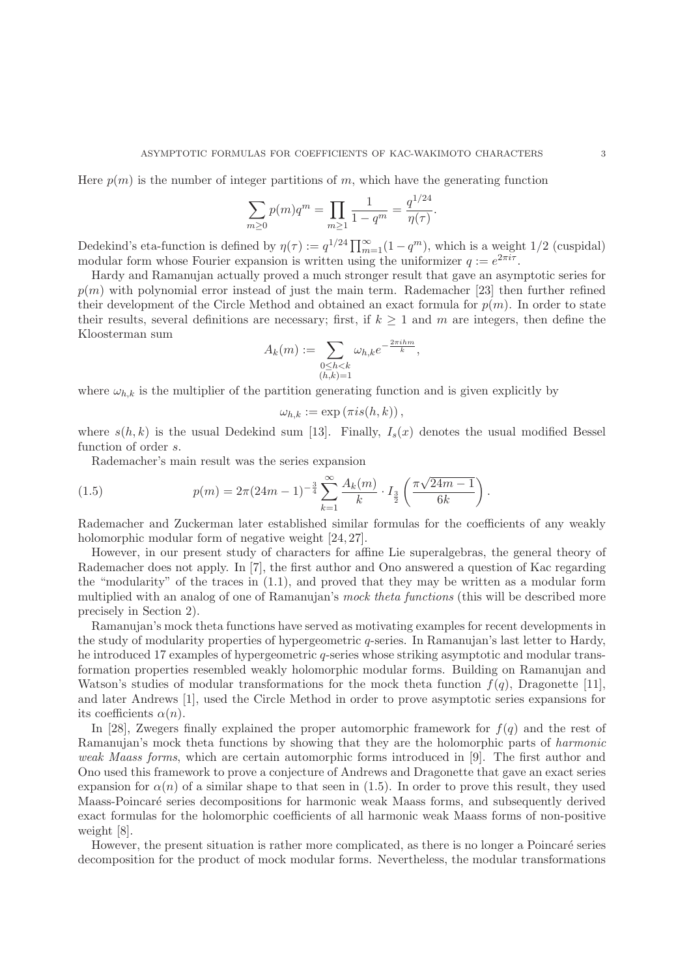Here  $p(m)$  is the number of integer partitions of m, which have the generating function

$$
\sum_{m\geq 0} p(m)q^m = \prod_{m\geq 1} \frac{1}{1-q^m} = \frac{q^{1/24}}{\eta(\tau)}.
$$

Dedekind's eta-function is defined by  $\eta(\tau) := q^{1/24} \prod_{m=1}^{\infty} (1 - q^m)$ , which is a weight 1/2 (cuspidal) modular form whose Fourier expansion is written using the uniformizer  $q := e^{2\pi i \tau}$ .

Hardy and Ramanujan actually proved a much stronger result that gave an asymptotic series for  $p(m)$  with polynomial error instead of just the main term. Rademacher [23] then further refined their development of the Circle Method and obtained an exact formula for  $p(m)$ . In order to state their results, several definitions are necessary; first, if  $k \geq 1$  and m are integers, then define the Kloosterman sum

$$
A_k(m) := \sum_{\substack{0 \le h < k \\ (h,k)=1}} \omega_{h,k} e^{-\frac{2\pi i h m}{k}},
$$

where  $\omega_{h,k}$  is the multiplier of the partition generating function and is given explicitly by

$$
\omega_{h,k} := \exp(\pi i s(h,k)),
$$

where  $s(h, k)$  is the usual Dedekind sum [13]. Finally,  $I_s(x)$  denotes the usual modified Bessel function of order s.

Rademacher's main result was the series expansion

(1.5) 
$$
p(m) = 2\pi (24m - 1)^{-\frac{3}{4}} \sum_{k=1}^{\infty} \frac{A_k(m)}{k} \cdot I_{\frac{3}{2}}\left(\frac{\pi \sqrt{24m - 1}}{6k}\right).
$$

Rademacher and Zuckerman later established similar formulas for the coefficients of any weakly holomorphic modular form of negative weight  $[24, 27]$ .

However, in our present study of characters for affine Lie superalgebras, the general theory of Rademacher does not apply. In [7], the first author and Ono answered a question of Kac regarding the "modularity" of the traces in  $(1.1)$ , and proved that they may be written as a modular form multiplied with an analog of one of Ramanujan's mock theta functions (this will be described more precisely in Section 2).

Ramanujan's mock theta functions have served as motivating examples for recent developments in the study of modularity properties of hypergeometric q-series. In Ramanujan's last letter to Hardy, he introduced 17 examples of hypergeometric q-series whose striking asymptotic and modular transformation properties resembled weakly holomorphic modular forms. Building on Ramanujan and Watson's studies of modular transformations for the mock theta function  $f(q)$ , Dragonette [11], and later Andrews [1], used the Circle Method in order to prove asymptotic series expansions for its coefficients  $\alpha(n)$ .

In [28], Zwegers finally explained the proper automorphic framework for  $f(q)$  and the rest of Ramanujan's mock theta functions by showing that they are the holomorphic parts of harmonic weak Maass forms, which are certain automorphic forms introduced in [9]. The first author and Ono used this framework to prove a conjecture of Andrews and Dragonette that gave an exact series expansion for  $\alpha(n)$  of a similar shape to that seen in (1.5). In order to prove this result, they used Maass-Poincaré series decompositions for harmonic weak Maass forms, and subsequently derived exact formulas for the holomorphic coefficients of all harmonic weak Maass forms of non-positive weight [8].

However, the present situation is rather more complicated, as there is no longer a Poincaré series decomposition for the product of mock modular forms. Nevertheless, the modular transformations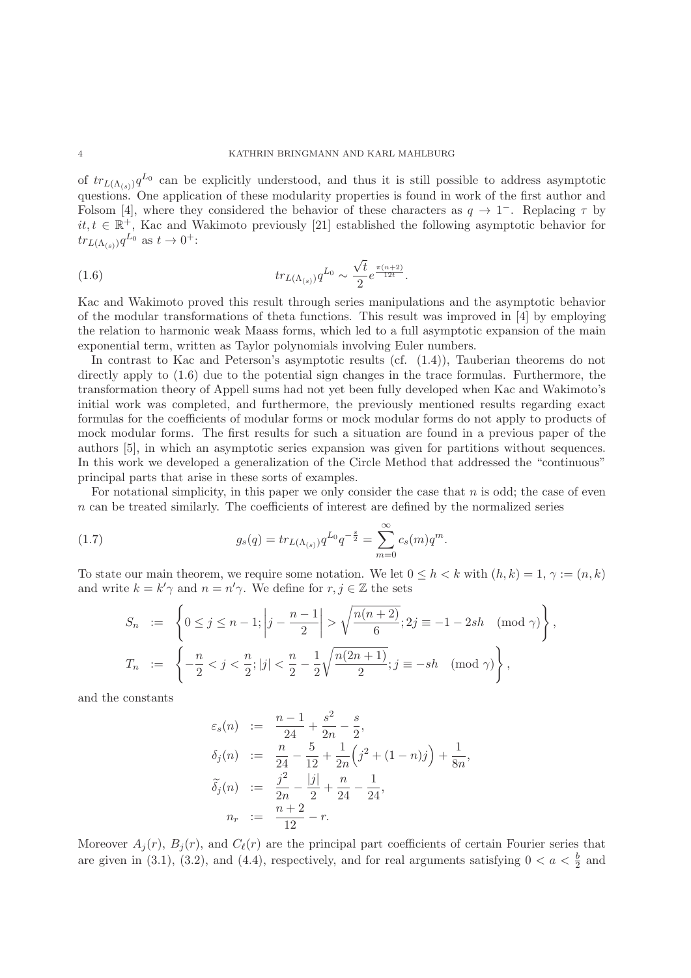of  $tr_{L(\Lambda_{(s)})}q^{L_0}$  can be explicitly understood, and thus it is still possible to address asymptotic questions. One application of these modularity properties is found in work of the first author and Folsom [4], where they considered the behavior of these characters as  $q \to 1^-$ . Replacing  $\tau$  by  $it, t \in \mathbb{R}^+$ , Kac and Wakimoto previously [21] established the following asymptotic behavior for  $tr_{L(\Lambda_{(s)})}q^{L_0}$  as  $t\to 0^+$ :

(1.6) 
$$
tr_{L(\Lambda_{(s)})} q^{L_0} \sim \frac{\sqrt{t}}{2} e^{\frac{\pi (n+2)}{12t}}.
$$

Kac and Wakimoto proved this result through series manipulations and the asymptotic behavior of the modular transformations of theta functions. This result was improved in [4] by employing the relation to harmonic weak Maass forms, which led to a full asymptotic expansion of the main exponential term, written as Taylor polynomials involving Euler numbers.

In contrast to Kac and Peterson's asymptotic results (cf. (1.4)), Tauberian theorems do not directly apply to  $(1.6)$  due to the potential sign changes in the trace formulas. Furthermore, the transformation theory of Appell sums had not yet been fully developed when Kac and Wakimoto's initial work was completed, and furthermore, the previously mentioned results regarding exact formulas for the coefficients of modular forms or mock modular forms do not apply to products of mock modular forms. The first results for such a situation are found in a previous paper of the authors [5], in which an asymptotic series expansion was given for partitions without sequences. In this work we developed a generalization of the Circle Method that addressed the "continuous" principal parts that arise in these sorts of examples.

For notational simplicity, in this paper we only consider the case that  $n$  is odd; the case of even  $n$  can be treated similarly. The coefficients of interest are defined by the normalized series

(1.7) 
$$
g_s(q) = tr_{L(\Lambda_{(s)})} q^{L_0} q^{-\frac{s}{2}} = \sum_{m=0}^{\infty} c_s(m) q^m.
$$

To state our main theorem, we require some notation. We let  $0 \leq h \leq k$  with  $(h, k) = 1, \gamma := (n, k)$ and write  $k = k' \gamma$  and  $n = n' \gamma$ . We define for  $r, j \in \mathbb{Z}$  the sets

$$
S_n := \left\{ 0 \le j \le n-1; \left| j - \frac{n-1}{2} \right| > \sqrt{\frac{n(n+2)}{6}}; 2j \equiv -1 - 2sh \pmod{\gamma} \right\},\
$$
  

$$
T_n := \left\{ -\frac{n}{2} < j < \frac{n}{2}; |j| < \frac{n}{2} - \frac{1}{2} \sqrt{\frac{n(2n+1)}{2}}; j \equiv -sh \pmod{\gamma} \right\},\
$$

and the constants

$$
\varepsilon_s(n) := \frac{n-1}{24} + \frac{s^2}{2n} - \frac{s}{2},
$$
  
\n
$$
\delta_j(n) := \frac{n}{24} - \frac{5}{12} + \frac{1}{2n} \left( j^2 + (1 - n)j \right) + \frac{1}{8n},
$$
  
\n
$$
\tilde{\delta}_j(n) := \frac{j^2}{2n} - \frac{|j|}{2} + \frac{n}{24} - \frac{1}{24},
$$
  
\n
$$
n_r := \frac{n+2}{12} - r.
$$

Moreover  $A_i(r)$ ,  $B_i(r)$ , and  $C_{\ell}(r)$  are the principal part coefficients of certain Fourier series that are given in (3.1), (3.2), and (4.4), respectively, and for real arguments satisfying  $0 < a < \frac{b}{2}$  and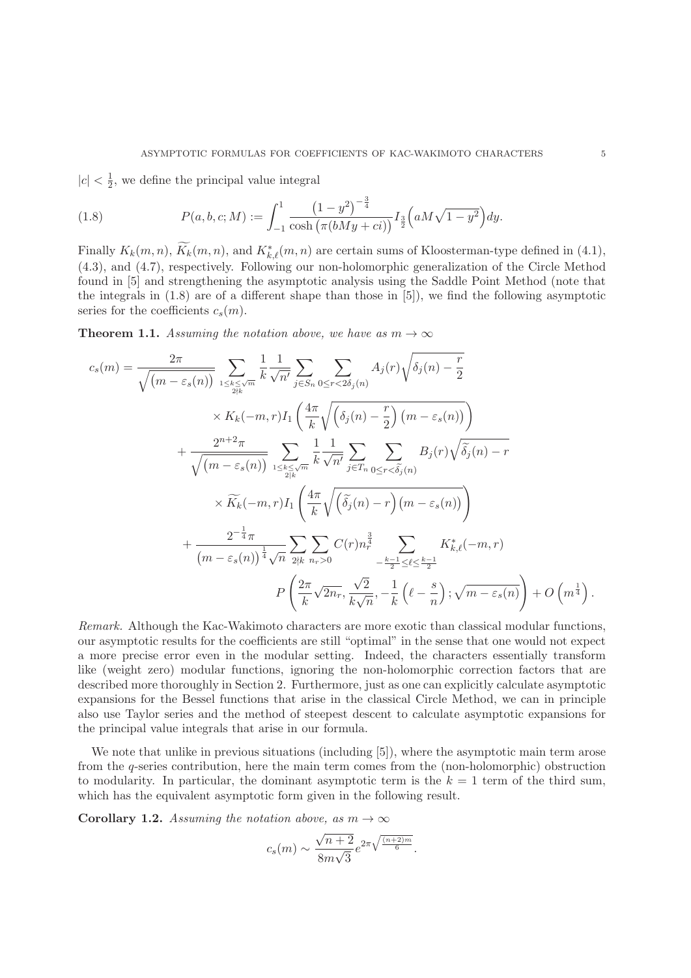$|c|<\frac{1}{2},$  we define the principal value integral

(1.8) 
$$
P(a, b, c; M) := \int_{-1}^{1} \frac{\left(1 - y^2\right)^{-\frac{3}{4}}}{\cosh\left(\pi (bMy + c i)\right)} I_{\frac{3}{2}}\left(aM\sqrt{1 - y^2}\right) dy.
$$

Finally  $K_k(m, n)$ ,  $K_k(m, n)$ , and  $K_{k,\ell}^*(m, n)$  are certain sums of Kloosterman-type defined in (4.1), (4.3), and (4.7), respectively. Following our non-holomorphic generalization of the Circle Method found in [5] and strengthening the asymptotic analysis using the Saddle Point Method (note that the integrals in (1.8) are of a different shape than those in [5]), we find the following asymptotic series for the coefficients  $c_s(m)$ .

**Theorem 1.1.** Assuming the notation above, we have as  $m \to \infty$ 

$$
c_s(m) = \frac{2\pi}{\sqrt{(m - \varepsilon_s(n))}} \sum_{1 \le k \le \sqrt{m}} \frac{1}{k} \frac{1}{\sqrt{n'}} \sum_{j \in S_n} \sum_{0 \le r < 2\delta_j(n)} A_j(r) \sqrt{\delta_j(n) - \frac{r}{2}}
$$
\n
$$
\times K_k(-m, r) I_1\left(\frac{4\pi}{k} \sqrt{\left(\delta_j(n) - \frac{r}{2}\right) \left(m - \varepsilon_s(n)\right)}\right) + \frac{2^{n+2}\pi}{\sqrt{(m - \varepsilon_s(n))}} \sum_{1 \le k \le \sqrt{m}} \frac{1}{k} \frac{1}{\sqrt{n'}} \sum_{j \in T_n} \sum_{0 \le r < \widetilde{\delta_j}(n)} B_j(r) \sqrt{\widetilde{\delta_j}(n) - r}
$$
\n
$$
\times \widetilde{K}_k(-m, r) I_1\left(\frac{4\pi}{k} \sqrt{\left(\widetilde{\delta_j}(n) - r\right) \left(m - \varepsilon_s(n)\right)}\right) + \frac{2^{-\frac{1}{4}}\pi}{(m - \varepsilon_s(n))^{\frac{1}{4}} \sqrt{n}} \sum_{2 \nmid k} \sum_{n_r > 0} C(r) n_r^{\frac{3}{4}} \sum_{-\frac{k-1}{2} \le \ell \le \frac{k-1}{2}} K_{k,\ell}^*(-m, r)
$$
\n
$$
P\left(\frac{2\pi}{k} \sqrt{2n_r}, \frac{\sqrt{2}}{k\sqrt{n}}, -\frac{1}{k} \left(\ell - \frac{s}{n}\right); \sqrt{m - \varepsilon_s(n)}\right) + O\left(m^{\frac{1}{4}}\right).
$$

Remark. Although the Kac-Wakimoto characters are more exotic than classical modular functions, our asymptotic results for the coefficients are still "optimal" in the sense that one would not expect a more precise error even in the modular setting. Indeed, the characters essentially transform like (weight zero) modular functions, ignoring the non-holomorphic correction factors that are described more thoroughly in Section 2. Furthermore, just as one can explicitly calculate asymptotic expansions for the Bessel functions that arise in the classical Circle Method, we can in principle also use Taylor series and the method of steepest descent to calculate asymptotic expansions for the principal value integrals that arise in our formula.

We note that unlike in previous situations (including [5]), where the asymptotic main term arose from the q-series contribution, here the main term comes from the (non-holomorphic) obstruction to modularity. In particular, the dominant asymptotic term is the  $k = 1$  term of the third sum, which has the equivalent asymptotic form given in the following result.

**Corollary 1.2.** Assuming the notation above, as  $m \to \infty$ 

$$
c_s(m) \sim \frac{\sqrt{n+2}}{8m\sqrt{3}}e^{2\pi\sqrt{\frac{(n+2)m}{6}}}.
$$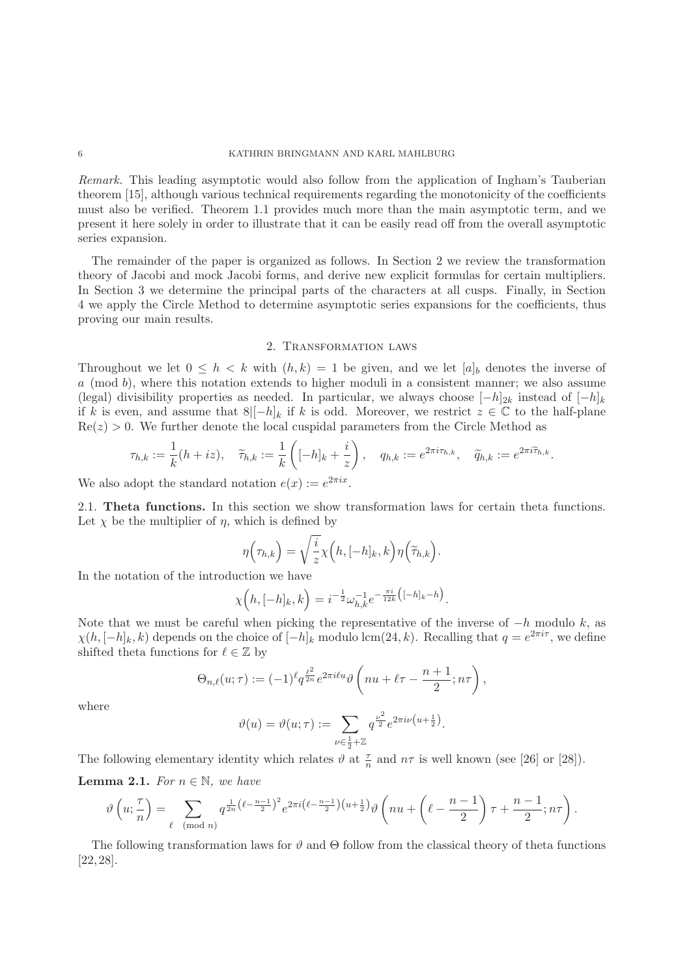### 6 KATHRIN BRINGMANN AND KARL MAHLBURG

Remark. This leading asymptotic would also follow from the application of Ingham's Tauberian theorem [15], although various technical requirements regarding the monotonicity of the coefficients must also be verified. Theorem 1.1 provides much more than the main asymptotic term, and we present it here solely in order to illustrate that it can be easily read off from the overall asymptotic series expansion.

The remainder of the paper is organized as follows. In Section 2 we review the transformation theory of Jacobi and mock Jacobi forms, and derive new explicit formulas for certain multipliers. In Section 3 we determine the principal parts of the characters at all cusps. Finally, in Section 4 we apply the Circle Method to determine asymptotic series expansions for the coefficients, thus proving our main results.

### 2. Transformation laws

Throughout we let  $0 \leq h \leq k$  with  $(h, k) = 1$  be given, and we let  $[a]_b$  denotes the inverse of  $a \pmod{b}$ , where this notation extends to higher moduli in a consistent manner; we also assume (legal) divisibility properties as needed. In particular, we always choose  $[-h]_{2k}$  instead of  $[-h]_k$ if k is even, and assume that  $8|[-h]_k$  if k is odd. Moreover, we restrict  $z \in \mathbb{C}$  to the half-plane  $Re(z) > 0$ . We further denote the local cuspidal parameters from the Circle Method as

$$
\tau_{h,k} := \frac{1}{k}(h+iz), \quad \widetilde{\tau}_{h,k} := \frac{1}{k}\left([-h]_k + \frac{i}{z}\right), \quad q_{h,k} := e^{2\pi i \tau_{h,k}}, \quad \widetilde{q}_{h,k} := e^{2\pi i \widetilde{\tau}_{h,k}}.
$$

We also adopt the standard notation  $e(x) := e^{2\pi i x}$ .

2.1. **Theta functions.** In this section we show transformation laws for certain theta functions. Let  $\chi$  be the multiplier of  $\eta$ , which is defined by

$$
\eta\left(\tau_{h,k}\right) = \sqrt{\frac{i}{z}} \chi\left(h, [-h]_k, k\right) \eta\left(\widetilde{\tau}_{h,k}\right).
$$

In the notation of the introduction we have

$$
\chi\Big(h, [-h]_k, k\Big) = i^{-\frac{1}{2}} \omega_{h,k}^{-1} e^{-\frac{\pi i}{12k} \big( [-h]_k - h \big)}.
$$

Note that we must be careful when picking the representative of the inverse of  $-h$  modulo k, as  $\chi(h, [-h]_k, k)$  depends on the choice of  $[-h]_k$  modulo lcm(24, k). Recalling that  $q = e^{2\pi i \tau}$ , we define shifted theta functions for  $\ell \in \mathbb{Z}$  by

$$
\Theta_{n,\ell}(u;\tau):=(-1)^{\ell}q^{\frac{\ell^2}{2n}}e^{2\pi i\ell u}\vartheta\left(nu+\ell\tau-\frac{n+1}{2};n\tau\right),
$$

where

$$
\vartheta(u)=\vartheta(u;\tau):=\sum_{\nu\in\frac{1}{2}+\mathbb{Z}}q^{\frac{\nu^2}{2}}e^{2\pi i\nu\left(u+\frac{1}{2}\right)}.
$$

The following elementary identity which relates  $\vartheta$  at  $\frac{\tau}{n}$  and  $n\tau$  is well known (see [26] or [28]).

**Lemma 2.1.** For  $n \in \mathbb{N}$ , we have

$$
\vartheta\left(u;\frac{\tau}{n}\right) = \sum_{\ell \pmod{n}} q^{\frac{1}{2n}\left(\ell - \frac{n-1}{2}\right)^2} e^{2\pi i \left(\ell - \frac{n-1}{2}\right)\left(u + \frac{1}{2}\right)} \vartheta\left(nu + \left(\ell - \frac{n-1}{2}\right)\tau + \frac{n-1}{2};n\tau\right).
$$

The following transformation laws for  $\vartheta$  and  $\Theta$  follow from the classical theory of theta functions [22, 28].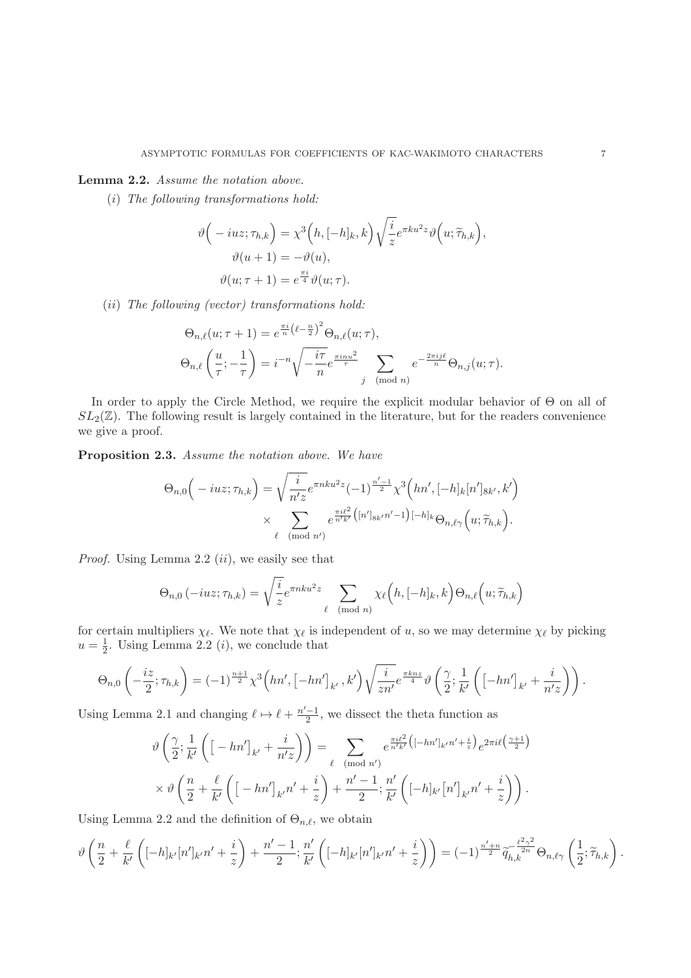# **Lemma 2.2.** Assume the notation above.

(i) The following transformations hold:

$$
\vartheta\Big(-iuz;\tau_{h,k}\Big) = \chi^3\Big(h,[-h]_k,k\Big)\sqrt{\frac{i}{z}}e^{\pi ku^2z}\vartheta\Big(u;\widetilde{\tau}_{h,k}\Big),
$$

$$
\vartheta(u+1) = -\vartheta(u),
$$

$$
\vartheta(u;\tau+1) = e^{\frac{\pi i}{4}}\vartheta(u;\tau).
$$

(ii) The following (vector) transformations hold:

$$
\Theta_{n,\ell}(u;\tau+1) = e^{\frac{\pi i}{n}(\ell-\frac{n}{2})^2} \Theta_{n,\ell}(u;\tau),
$$

$$
\Theta_{n,\ell}\left(\frac{u}{\tau};-\frac{1}{\tau}\right) = i^{-n} \sqrt{-\frac{i\tau}{n}} e^{\frac{\pi i n u^2}{\tau}} \sum_{j \pmod{n}} e^{-\frac{2\pi i j \ell}{n}} \Theta_{n,j}(u;\tau).
$$

In order to apply the Circle Method, we require the explicit modular behavior of Θ on all of  $SL_2(\mathbb{Z})$ . The following result is largely contained in the literature, but for the readers convenience we give a proof.

**Proposition 2.3.** Assume the notation above. We have

$$
\Theta_{n,0}\Big(-iuz;\tau_{h,k}\Big) = \sqrt{\frac{i}{n'z}} e^{\pi n k u^2 z} (-1)^{\frac{n'-1}{2}} \chi^3\Big(hn',[-h]_k[n']_{8k'},k'\Big) \times \sum_{\ell \pmod{n'}} e^{\frac{\pi i \ell^2}{n'k'}\big([n']_{8k'}n'-1\big)[-h]_k} \Theta_{n,\ell\gamma}\Big(u;\widetilde{\tau}_{h,k}\Big).
$$

*Proof.* Using Lemma 2.2  $(ii)$ , we easily see that

$$
\Theta_{n,0}(-iuz;\tau_{h,k}) = \sqrt{\frac{i}{z}} e^{\pi n k u^2 z} \sum_{\ell \pmod{n}} \chi_{\ell}(h,[-h]_k,k) \Theta_{n,\ell}(u;\widetilde{\tau}_{h,k})
$$

for certain multipliers  $\chi_{\ell}$ . We note that  $\chi_{\ell}$  is independent of u, so we may determine  $\chi_{\ell}$  by picking  $u = \frac{1}{2}$ . Using Lemma 2.2 (*i*), we conclude that

$$
\Theta_{n,0}\left(-\frac{iz}{2};\tau_{h,k}\right)=(-1)^{\frac{n+1}{2}}\chi^3\left(hn',\left[-hn'\right]_{k'},k'\right)\sqrt{\frac{i}{zn'}}e^{\frac{\pi knz}{4}}\vartheta\left(\frac{\gamma}{2};\frac{1}{k'}\left(\left[-hn'\right]_{k'}+\frac{i}{n'z}\right)\right).
$$

Using Lemma 2.1 and changing  $\ell \mapsto \ell + \frac{n'-1}{2}$ , we dissect the theta function as

$$
\vartheta\left(\frac{\gamma}{2};\frac{1}{k'}\left(\left[-hn'\right]_{k'}+\frac{i}{n'z}\right)\right)=\sum_{\ell\pmod{n'}}e^{\frac{\pi i\ell^2}{n'k'}\left(\left[-hn'\right]_{k'}n'+\frac{i}{z}\right)}e^{2\pi i\ell\left(\frac{\gamma+1}{2}\right)}
$$

$$
\times \vartheta\left(\frac{n}{2}+\frac{\ell}{k'}\left(\left[-hn'\right]_{k'}n'+\frac{i}{z}\right)+\frac{n'-1}{2};\frac{n'}{k'}\left(\left[-h\right]_{k'}\left[n'\right]_{k'}n'+\frac{i}{z}\right)\right).
$$

Using Lemma 2.2 and the definition of  $\Theta_{n,\ell}$ , we obtain

$$
\vartheta\left(\frac{n}{2}+\frac{\ell}{k'}\left([-h]_{k'}[n']_{k'}n'+\frac{i}{z}\right)+\frac{n'-1}{2};\frac{n'}{k'}\left([-h]_{k'}[n']_{k'}n'+\frac{i}{z}\right)\right)=(-1)^{\frac{n'+n}{2}}\widetilde{q}_{h,k}^{-\frac{\ell^2\gamma^2}{2n}}\Theta_{n,\ell\gamma}\left(\frac{1}{2};\widetilde{\tau}_{h,k}\right).
$$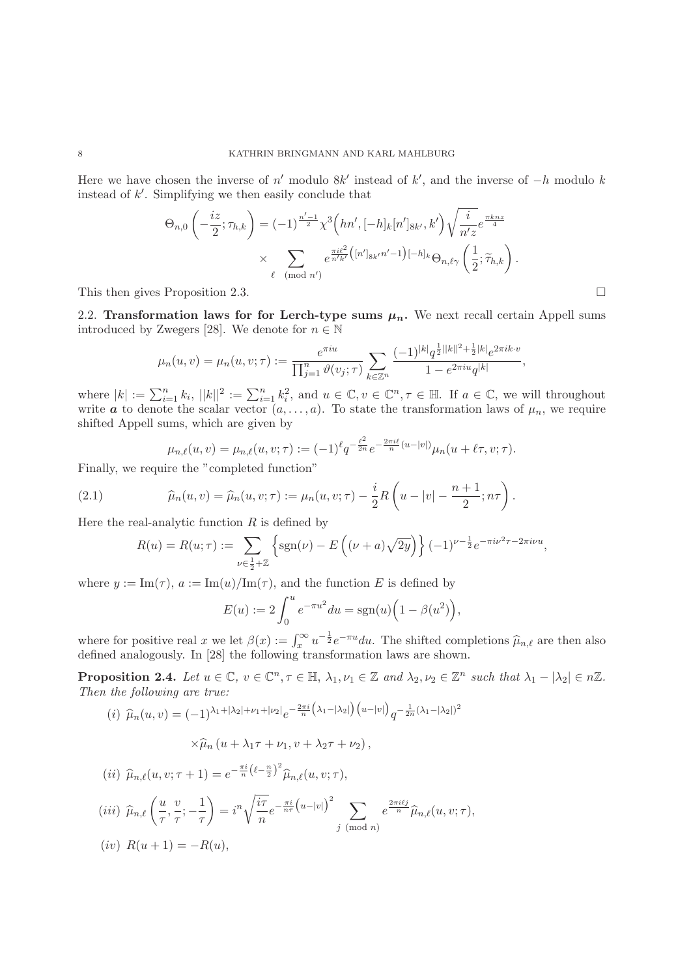Here we have chosen the inverse of  $n'$  modulo 8k' instead of k', and the inverse of  $-h$  modulo k instead of k . Simplifying we then easily conclude that

$$
\Theta_{n,0}\left(-\frac{iz}{2};\tau_{h,k}\right) = (-1)^{\frac{n'-1}{2}} \chi^3\left(hn',[-h]_k[n']_{8k'},k'\right) \sqrt{\frac{i}{n'z}} e^{\frac{\pi k nz}{4}}
$$

$$
\times \sum_{\ell \pmod{n'}} e^{\frac{\pi i \ell^2}{n'k'}}([n']_{8k'}n'-1)[-h]_k \Theta_{n,\ell\gamma}\left(\frac{1}{2};\widetilde{\tau}_{h,k}\right).
$$

This then gives Proposition 2.3.

2.2. **Transformation laws for for Lerch-type sums**  $\mu_n$ **.** We next recall certain Appell sums introduced by Zwegers [28]. We denote for  $n \in \mathbb{N}$ 

$$
\mu_n(u,v) = \mu_n(u,v;\tau) := \frac{e^{\pi i u}}{\prod_{j=1}^n \vartheta(v_j;\tau)} \sum_{k \in \mathbb{Z}^n} \frac{(-1)^{|k|} q^{\frac{1}{2}||k||^2 + \frac{1}{2}|k|} e^{2\pi i k \cdot v}}{1 - e^{2\pi i u} q^{|k|}},
$$

where  $|k| := \sum_{i=1}^n k_i$ ,  $||k||^2 := \sum_{i=1}^n k_i^2$ , and  $u \in \mathbb{C}$ ,  $v \in \mathbb{C}^n$ ,  $\tau \in \mathbb{H}$ . If  $a \in \mathbb{C}$ , we will throughout write **a** to denote the scalar vector  $(a, \ldots, a)$ . To state the transformation laws of  $\mu_n$ , we require shifted Appell sums, which are given by

$$
\mu_{n,\ell}(u,v) = \mu_{n,\ell}(u,v;\tau) := (-1)^{\ell} q^{-\frac{\ell^2}{2n}} e^{-\frac{2\pi i \ell}{n}(u-|v|)} \mu_n(u+\ell \tau, v;\tau).
$$

Finally, we require the "completed function"

(2.1) 
$$
\widehat{\mu}_n(u,v) = \widehat{\mu}_n(u,v;\tau) := \mu_n(u,v;\tau) - \frac{i}{2}R\left(u - |v| - \frac{n+1}{2};n\tau\right).
$$

Here the real-analytic function  $R$  is defined by

$$
R(u) = R(u; \tau) := \sum_{\nu \in \frac{1}{2} + \mathbb{Z}} \left\{ \text{sgn}(\nu) - E\left( (\nu + a)\sqrt{2y} \right) \right\} (-1)^{\nu - \frac{1}{2}} e^{-\pi i \nu^2 \tau - 2\pi i \nu u},
$$

where  $y := \text{Im}(\tau)$ ,  $a := \text{Im}(u)/\text{Im}(\tau)$ , and the function E is defined by

$$
E(u) := 2 \int_0^u e^{-\pi u^2} du = \text{sgn}(u) \Big( 1 - \beta(u^2) \Big),
$$

where for positive real x we let  $\beta(x) := \int_x^{\infty} u^{-\frac{1}{2}} e^{-\pi u} du$ . The shifted completions  $\hat{\mu}_{n,\ell}$  are then also defined analogously. In [28] the following transformation laws are shown.

**Proposition 2.4.** Let  $u \in \mathbb{C}$ ,  $v \in \mathbb{C}^n$ ,  $\tau \in \mathbb{H}$ ,  $\lambda_1, \nu_1 \in \mathbb{Z}$  and  $\lambda_2, \nu_2 \in \mathbb{Z}^n$  such that  $\lambda_1 - |\lambda_2| \in n\mathbb{Z}$ . Then the following are true:

$$
(i) \ \hat{\mu}_n(u,v) = (-1)^{\lambda_1 + |\lambda_2| + \nu_1 + |\nu_2|} e^{-\frac{2\pi i}{n} (\lambda_1 - |\lambda_2|) (u - |v|)} q^{-\frac{1}{2n} (\lambda_1 - |\lambda_2|)^2}
$$

$$
\times \widehat{\mu}_n (u + \lambda_1 \tau + \nu_1, v + \lambda_2 \tau + \nu_2),
$$

$$
(ii) \ \widehat{\mu}_{n,\ell}(u,v;\tau+1) = e^{-\frac{\pi i}{n}(\ell-\frac{n}{2})^2} \widehat{\mu}_{n,\ell}(u,v;\tau),
$$
  
\n
$$
(iii) \ \widehat{\mu}_{n,\ell}\left(\frac{u}{\tau},\frac{v}{\tau};-\frac{1}{\tau}\right) = i^n \sqrt{\frac{i\tau}{n}} e^{-\frac{\pi i}{n\tau} (u-|v|)^2} \sum_{j \pmod{n}} e^{\frac{2\pi i \ell j}{n}} \widehat{\mu}_{n,\ell}(u,v;\tau),
$$
  
\n
$$
(iv) \ R(u+1) = -R(u),
$$

 $\Box$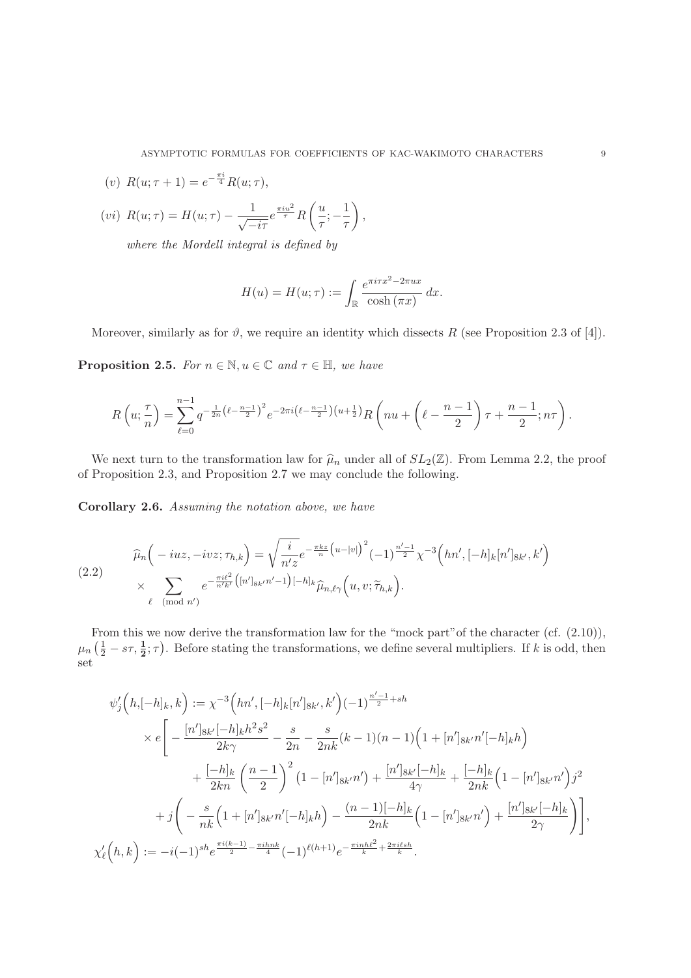(v) 
$$
R(u; \tau + 1) = e^{-\frac{\pi i}{4}} R(u; \tau),
$$

$$
(vi) R(u; \tau) = H(u; \tau) - \frac{1}{\sqrt{-i\tau}} e^{\frac{\pi i u^2}{\tau}} R\left(\frac{u}{\tau}; -\frac{1}{\tau}\right),
$$

where the Mordell integral is defined by

$$
H(u) = H(u; \tau) := \int_{\mathbb{R}} \frac{e^{\pi i \tau x^2 - 2\pi ux}}{\cosh(\pi x)} dx.
$$

Moreover, similarly as for  $\vartheta$ , we require an identity which dissects R (see Proposition 2.3 of [4]).

**Proposition 2.5.** For  $n \in \mathbb{N}$ ,  $u \in \mathbb{C}$  and  $\tau \in \mathbb{H}$ , we have

$$
R\left(u;\frac{\tau}{n}\right) = \sum_{\ell=0}^{n-1} q^{-\frac{1}{2n}\left(\ell - \frac{n-1}{2}\right)^2} e^{-2\pi i \left(\ell - \frac{n-1}{2}\right)\left(u + \frac{1}{2}\right)} R\left(nu + \left(\ell - \frac{n-1}{2}\right)\tau + \frac{n-1}{2}; n\tau\right).
$$

We next turn to the transformation law for  $\hat{\mu}_n$  under all of  $SL_2(\mathbb{Z})$ . From Lemma 2.2, the proof of Proposition 2.3, and Proposition 2.7 we may conclude the following.

**Corollary 2.6.** Assuming the notation above, we have

$$
\widehat{\mu}_n\Big(-iuz, -ivz; \tau_{h,k}\Big) = \sqrt{\frac{i}{n'z}} e^{-\frac{\pi k z}{n}\big(u-|v|\big)^2} (-1)^{\frac{n'-1}{2}} \chi^{-3}\Big(hn', [-h]_k[n']_{8k'}, k'\Big) \times \sum_{\ell \pmod{n'}} e^{-\frac{\pi i \ell^2}{n'k'}\big([n']_{8k'}n'-1\big)[-h]_k} \widehat{\mu}_{n,\ell\gamma}\Big(u, v; \widetilde{\tau}_{h,k}\Big).
$$

From this we now derive the transformation law for the "mock part" of the character (cf.  $(2.10)$ ),  $\mu_n$   $(\frac{1}{2} - s\tau, \frac{1}{2}; \tau)$ . Before stating the transformations, we define several multipliers. If k is odd, then set

$$
\psi'_{j}\left(h,[-h]_{k},k\right) := \chi^{-3}\left(hn',[-h]_{k}[n']_{8k'},k'\right)(-1)^{\frac{n'-1}{2}+sh}
$$
  
\n
$$
\times e\left[-\frac{[n']_{8k'}[-h]_{k}h^{2}s^{2}}{2k\gamma} - \frac{s}{2n} - \frac{s}{2nk}(k-1)(n-1)\left(1+[n']_{8k'}n'[-h]_{k}h\right)\right]
$$
  
\n
$$
+\frac{[-h]_{k}}{2kn}\left(\frac{n-1}{2}\right)^{2}\left(1-[n']_{8k'}n'\right) + \frac{[n']_{8k'}[-h]_{k}}{4\gamma} + \frac{[-h]_{k}}{2nk}\left(1-[n']_{8k'}n'\right)j^{2}
$$
  
\n
$$
+j\left(-\frac{s}{nk}\left(1+[n']_{8k'}n'[-h]_{k}h\right) - \frac{(n-1)[-h]_{k}}{2nk}\left(1-[n']_{8k'}n'\right) + \frac{[n']_{8k'}[-h]_{k}}{2\gamma}\right)\right],
$$
  
\n
$$
\chi'_{\ell}(h,k) := -i(-1)^{sh}e^{\frac{\pi i(k-1)}{2} - \frac{\pi i h n k}{4}}(-1)^{\ell(h+1)}e^{-\frac{\pi i n h \ell^{2}}{k} + \frac{2\pi i \ell s h}{k}}.
$$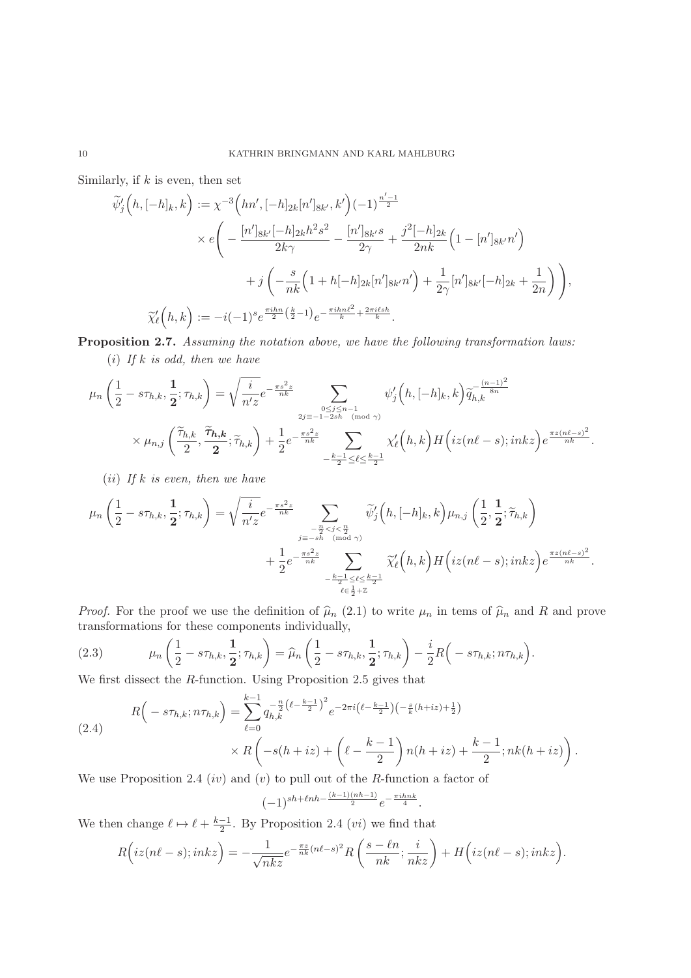Similarly, if  $k$  is even, then set

$$
\widetilde{\psi}'_j\Big(h, [-h]_k, k\Big) := \chi^{-3}\Big(hn', [-h]_{2k}[n']_{8k'}, k'\Big)(-1)^{\frac{n'-1}{2}} \times e\Bigg(-\frac{[n']_{8k'}[-h]_{2k}h^2s^2}{2k\gamma} - \frac{[n']_{8k'}s}{2\gamma} + \frac{j^2[-h]_{2k}}{2nk}\Big(1 - [n']_{8k'}n'\Big) \n+ j\Bigg(-\frac{s}{nk}\Big(1 + h[-h]_{2k}[n']_{8k'}n'\Big) + \frac{1}{2\gamma}[n']_{8k'}[-h]_{2k} + \frac{1}{2n}\Bigg)\Bigg),
$$
\n
$$
\widetilde{\chi}'_\ell\Big(h, k\Big) := -i(-1)^s e^{\frac{\pi i h n}{2} \left(\frac{k}{2} - 1\right)} e^{-\frac{\pi i h n \ell^2}{k} + \frac{2\pi i \ell s h}{k}}.
$$

**Proposition 2.7.** Assuming the notation above, we have the following transformation laws:

(i) If  $k$  is odd, then we have

$$
\mu_n\left(\frac{1}{2}-s\tau_{h,k},\frac{1}{2};\tau_{h,k}\right)=\sqrt{\frac{i}{n'z}}e^{-\frac{\pi s^2z}{nk}}\sum_{\substack{0\leq j\leq n-1\\2j\equiv -1-2sh\pmod{\gamma}\\0\leq j\leq n-1}}\psi_j'\left(h,[-h]_k,k\right)\widetilde{q}_{h,k}^{-\frac{(n-1)^2}{8n}}\\\times\mu_{n,j}\left(\frac{\widetilde{\tau}_{h,k}}{2},\frac{\widetilde{\tau}_{h,k}}{2};\widetilde{\tau}_{h,k}\right)+\frac{1}{2}e^{-\frac{\pi s^2z}{nk}}\sum_{-\frac{k-1}{2}\leq \ell\leq \frac{k-1}{2}}\chi_{\ell}'\left(h,k\right)H\left(iz(n\ell-s);inkz\right)e^{\frac{\pi z(n\ell-s)^2}{nk}}.
$$

(*ii*) If  $k$  is even, then we have

$$
\mu_n\left(\frac{1}{2}-s\tau_{h,k},\frac{1}{2};\tau_{h,k}\right)=\sqrt{\frac{i}{n'z}}e^{-\frac{\pi s^2z}{nk}}\sum_{\substack{-\frac{n}{2}
$$

*Proof.* For the proof we use the definition of  $\hat{\mu}_n$  (2.1) to write  $\mu_n$  in tems of  $\hat{\mu}_n$  and R and prove transformations for these components individually,

(2.3) 
$$
\mu_n\left(\frac{1}{2} - s\tau_{h,k}, \frac{1}{2}; \tau_{h,k}\right) = \widehat{\mu}_n\left(\frac{1}{2} - s\tau_{h,k}, \frac{1}{2}; \tau_{h,k}\right) - \frac{i}{2}R\left(-s\tau_{h,k}; n\tau_{h,k}\right).
$$

We first dissect the R-function. Using Proposition 2.5 gives that

$$
R\left(-s\tau_{h,k};n\tau_{h,k}\right) = \sum_{\ell=0}^{k-1} q_{h,k}^{-\frac{n}{2}\left(\ell-\frac{k-1}{2}\right)^2} e^{-2\pi i \left(\ell-\frac{k-1}{2}\right)\left(-\frac{s}{k}(h+iz)+\frac{1}{2}\right)} \times R\left(-s(h+iz)+\left(\ell-\frac{k-1}{2}\right)n(h+iz)+\frac{k-1}{2};nk(h+iz)\right).
$$

We use Proposition 2.4  $(iv)$  and  $(v)$  to pull out of the R-function a factor of

$$
(-1)^{sh+\ell nh-\frac{(k-1)(nh-1)}{2}}e^{-\frac{\pi i h nk}{4}}.
$$

We then change  $\ell \mapsto \ell + \frac{k-1}{2}$ . By Proposition 2.4 (*vi*) we find that

$$
R\Big(iz(n\ell-s);inkz\Big)=-\frac{1}{\sqrt{nk}z}e^{-\frac{\pi z}{nk}(n\ell-s)^2}R\left(\frac{s-\ell n}{nk};\frac{i}{nkz}\right)+H\Big(iz(n\ell-s);inkz\Big).
$$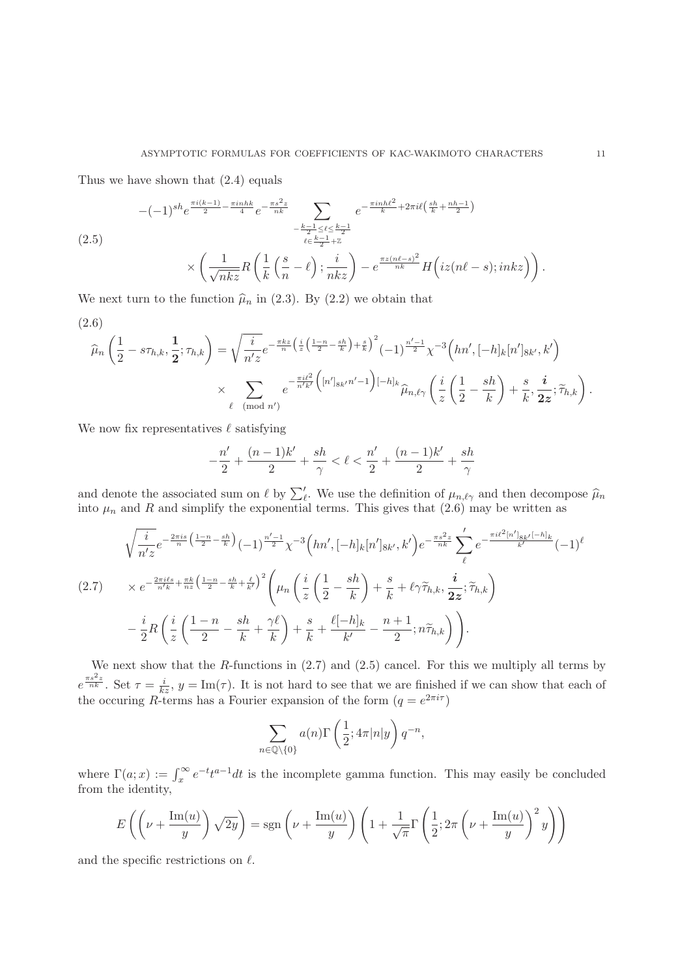Thus we have shown that (2.4) equals

$$
-(-1)^{sh}e^{\frac{\pi i(k-1)}{2}-\frac{\pi i n h k}{4}}e^{-\frac{\pi s^2 z}{nk}}\sum_{\substack{-\frac{k-1}{2}\leq\ell\leq\frac{k-1}{2}\\ \ell\in\frac{k-1}{2}+\mathbb{Z}}}e^{-\frac{\pi i n h \ell^2}{k}+2\pi i\ell\left(\frac{sh}{k}+\frac{nh-1}{2}\right)} \\
\times\left(\frac{1}{\sqrt{nkz}}R\left(\frac{1}{k}\left(\frac{s}{n}-\ell\right);\frac{i}{nkz}\right)-e^{\frac{\pi z(n\ell-s)^2}{nk}}H\left(iz(n\ell-s);inkz\right)\right)
$$

We next turn to the function  $\hat{\mu}_n$  in (2.3). By (2.2) we obtain that

$$
(2.6)
$$

$$
\widehat{\mu}_n\left(\frac{1}{2}-s\tau_{h,k},\frac{1}{2};\tau_{h,k}\right)=\sqrt{\frac{i}{n'z}}e^{-\frac{\pi kz}{n}\left(\frac{i}{z}\left(\frac{1-n}{2}-\frac{sh}{k}\right)+\frac{s}{k}\right)^2}\left(-1\right)^{\frac{n'-1}{2}}\chi^{-3}\left(hn',[-h]_k[n']_{8k'},k'\right)\times\sum_{\ell\pmod{n'}}e^{-\frac{\pi i\ell^2}{n'k'}\left([n']_{8k'}n'-1\right)[-h]_k}\widehat{\mu}_{n,\ell\gamma}\left(\frac{i}{z}\left(\frac{1}{2}-\frac{sh}{k}\right)+\frac{s}{k},\frac{i}{2z};\widetilde{\tau}_{h,k}\right).
$$

We now fix representatives  $\ell$  satisfying

$$
-\frac{n'}{2} + \frac{(n-1)k'}{2} + \frac{sh}{\gamma} < \ell < \frac{n'}{2} + \frac{(n-1)k'}{2} + \frac{sh}{\gamma}
$$

and denote the associated sum on  $\ell$  by  $\sum_{\ell}'$ . We use the definition of  $\mu_{n,\ell\gamma}$  and then decompose  $\widehat{\mu}_n$  into  $\mu_n$  and R and simplify the exponential terms. This gives that (2.6) may be written as

$$
\sqrt{\frac{i}{n'z}}e^{-\frac{2\pi i s}{n}\left(\frac{1-n}{2}-\frac{sh}{k}\right)}(-1)^{\frac{n'-1}{2}}\chi^{-3}\left(hn',[-h]_k[n']_{8k'},k'\right)e^{-\frac{\pi s^2 z}{nk}}\sum_{\ell}'e^{-\frac{\pi i \ell^2 [n']_{8k'}[-h]_k}{k'}}(-1)^{\ell}
$$
\n
$$
(2.7) \times e^{-\frac{2\pi i \ell s}{n'k}+\frac{\pi k}{nz}\left(\frac{1-n}{2}-\frac{sh}{k}+\frac{\ell}{k'}\right)^2}\left(\mu_n\left(\frac{i}{z}\left(\frac{1}{2}-\frac{sh}{k}\right)+\frac{s}{k}+\ell\gamma\tilde{\tau}_{h,k},\frac{i}{2z};\tilde{\tau}_{h,k}\right)\right)
$$
\n
$$
-\frac{i}{2}R\left(\frac{i}{z}\left(\frac{1-n}{2}-\frac{sh}{k}+\frac{\gamma\ell}{k}\right)+\frac{s}{k}+\frac{\ell[-h]_k}{k'}-\frac{n+1}{2};n\tilde{\tau}_{h,k}\right)\right).
$$

We next show that the R-functions in  $(2.7)$  and  $(2.5)$  cancel. For this we multiply all terms by  $e^{\frac{\pi s^2 z}{nk}}$ . Set  $\tau = \frac{i}{kz}$ ,  $y = \text{Im}(\tau)$ . It is not hard to see that we are finished if we can show that each of the occuring R-terms has a Fourier expansion of the form  $(q = e^{2\pi i \tau})$ 

$$
\sum_{n \in \mathbb{Q} \setminus \{0\}} a(n) \Gamma\left(\frac{1}{2}; 4\pi |n|y\right) q^{-n},
$$

where  $\Gamma(a; x) := \int_x^{\infty} e^{-t} t^{a-1} dt$  is the incomplete gamma function. This may easily be concluded from the identity,

$$
E\left(\left(\nu + \frac{\text{Im}(u)}{y}\right)\sqrt{2y}\right) = \text{sgn}\left(\nu + \frac{\text{Im}(u)}{y}\right)\left(1 + \frac{1}{\sqrt{\pi}}\Gamma\left(\frac{1}{2}; 2\pi\left(\nu + \frac{\text{Im}(u)}{y}\right)^2y\right)\right)
$$

and the specific restrictions on  $\ell$ .

.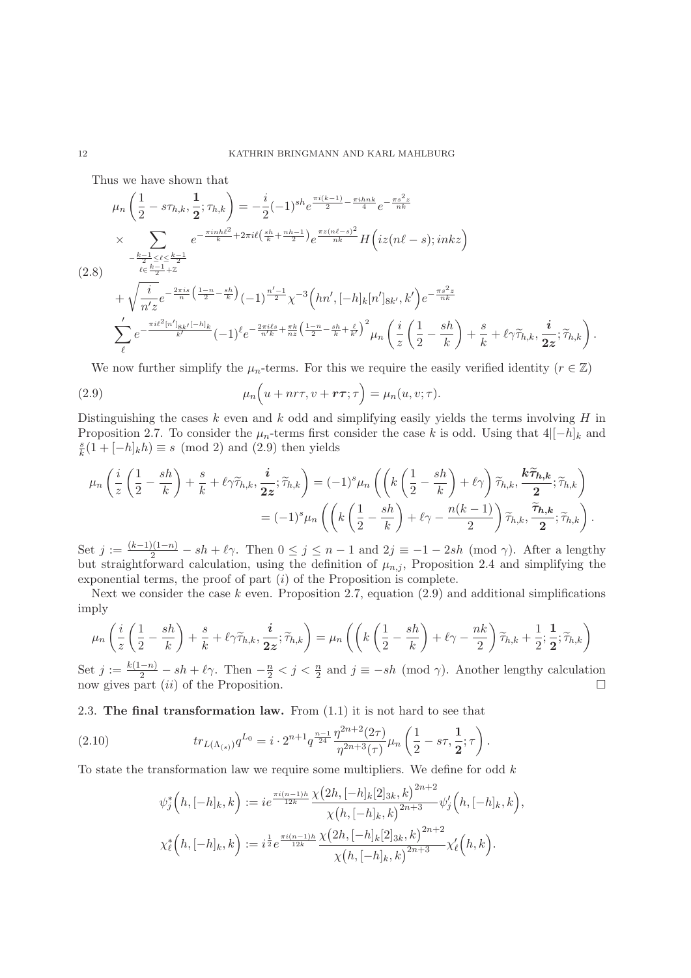Thus we have shown that

$$
\mu_{n}\left(\frac{1}{2}-s\tau_{h,k},\frac{1}{2};\tau_{h,k}\right) = -\frac{i}{2}(-1)^{sh}e^{\frac{\pi i(k-1)}{2}-\frac{\pi i h n k}{4}}e^{-\frac{\pi s^{2} z}{nk}}
$$
\n
$$
\times \sum_{-\frac{k-1}{2}\leq\ell\leq\frac{k-1}{2}+2}e^{-\frac{\pi i n h \ell^{2}}{k}+2\pi i\ell\left(\frac{sh}{k}+\frac{nh-1}{2}\right)}e^{\frac{\pi z(n\ell-s)^{2}}{nk}}H\left(iz(n\ell-s);inkz\right)
$$
\n
$$
(2.8)
$$
\n
$$
+\sqrt{\frac{i}{n'z}}e^{-\frac{2\pi i s}{n}\left(\frac{1-n}{2}-\frac{sh}{k}\right)}(-1)^{\frac{n'-1}{2}}\chi^{-3}\left(hn',[-h]_{k}[n']_{8k'},k'\right)e^{-\frac{\pi s^{2} z}{nk}}
$$
\n
$$
\sum_{\ell}^{\prime}e^{-\frac{\pi i\ell^{2}[n']_{8k'}[-h]_{k}}{k'}(-1)^{\ell}e^{-\frac{2\pi i\ell s}{n'k}+\frac{\pi k}{nz}\left(\frac{1-n}{2}-\frac{sh}{k}+\frac{\ell}{k'}\right)^{2}}\mu_{n}\left(\frac{i}{z}\left(\frac{1}{2}-\frac{sh}{k}\right)+\frac{s}{k}+\ell\gamma\tilde{\tau}_{h,k},\frac{i}{2z};\tilde{\tau}_{h,k}\right)
$$

We now further simplify the  $\mu_n$ -terms. For this we require the easily verified identity ( $r \in \mathbb{Z}$ )

.

(2.9) 
$$
\mu_n\Big(u + nr\tau, v + r\tau; \tau\Big) = \mu_n(u, v; \tau).
$$

Distinguishing the cases  $k$  even and  $k$  odd and simplifying easily yields the terms involving  $H$  in Proposition 2.7. To consider the  $\mu_n$ -terms first consider the case k is odd. Using that  $4|[-h]_k$  and  $\frac{s}{k}(1 + [-h]_k h) \equiv s \pmod{2}$  and  $(2.9)$  then yields

$$
\mu_n\left(\frac{i}{z}\left(\frac{1}{2}-\frac{sh}{k}\right)+\frac{s}{k}+\ell\gamma\widetilde{\tau}_{h,k},\frac{i}{2z};\widetilde{\tau}_{h,k}\right)=(-1)^s\mu_n\left(\left(k\left(\frac{1}{2}-\frac{sh}{k}\right)+\ell\gamma\right)\widetilde{\tau}_{h,k},\frac{k\widetilde{\tau}_{h,k}}{2};\widetilde{\tau}_{h,k}\right) =(-1)^s\mu_n\left(\left(k\left(\frac{1}{2}-\frac{sh}{k}\right)+\ell\gamma-\frac{n(k-1)}{2}\right)\widetilde{\tau}_{h,k},\frac{\widetilde{\tau}_{h,k}}{2};\widetilde{\tau}_{h,k}\right).
$$

Set  $j := \frac{(k-1)(1-n)}{2} - sh + \ell \gamma$ . Then  $0 \le j \le n-1$  and  $2j \equiv -1-2sh \pmod{\gamma}$ . After a lengthy but straightforward calculation, using the definition of  $\mu_{n,j}$ , Proposition 2.4 and simplifying the exponential terms, the proof of part  $(i)$  of the Proposition is complete.

Next we consider the case  $k$  even. Proposition 2.7, equation (2.9) and additional simplifications imply

$$
\mu_n\left(\frac{i}{z}\left(\frac{1}{2}-\frac{sh}{k}\right)+\frac{s}{k}+\ell\gamma\widetilde{\tau}_{h,k},\frac{i}{2z};\widetilde{\tau}_{h,k}\right)=\mu_n\left(\left(k\left(\frac{1}{2}-\frac{sh}{k}\right)+\ell\gamma-\frac{nk}{2}\right)\widetilde{\tau}_{h,k}+\frac{1}{2};\frac{1}{2};\widetilde{\tau}_{h,k}\right)
$$

Set  $j := \frac{k(1-n)}{2} - sh + \ell \gamma$ . Then  $-\frac{n}{2} < j < \frac{n}{2}$  and  $j \equiv -sh \pmod{\gamma}$ . Another lengthy calculation now gives part  $(ii)$  of the Proposition.  $\Box$ 

2.3. **The final transformation law.** From (1.1) it is not hard to see that

(2.10) 
$$
tr_{L(\Lambda_{(s)})} q^{L_0} = i \cdot 2^{n+1} q^{\frac{n-1}{24}} \frac{\eta^{2n+2}(2\tau)}{\eta^{2n+3}(\tau)} \mu_n \left(\frac{1}{2} - s\tau, \frac{1}{2}; \tau\right).
$$

To state the transformation law we require some multipliers. We define for odd  $k$ 

$$
\psi_j^*\left(h, [-h]_k, k\right) := ie^{\frac{\pi i (n-1)h}{12k}} \frac{\chi\left(2h, [-h]_k[2]_{3k}, k\right)^{2n+2}}{\chi\left(h, [-h]_k, k\right)^{2n+3}} \psi_j'\left(h, [-h]_k, k\right),
$$
  

$$
\chi_\ell^*\left(h, [-h]_k, k\right) := i^{\frac{1}{2}} e^{\frac{\pi i (n-1)h}{12k}} \frac{\chi\left(2h, [-h]_k[2]_{3k}, k\right)^{2n+2}}{\chi\left(h, [-h]_k, k\right)^{2n+3}} \chi'_\ell\left(h, k\right).
$$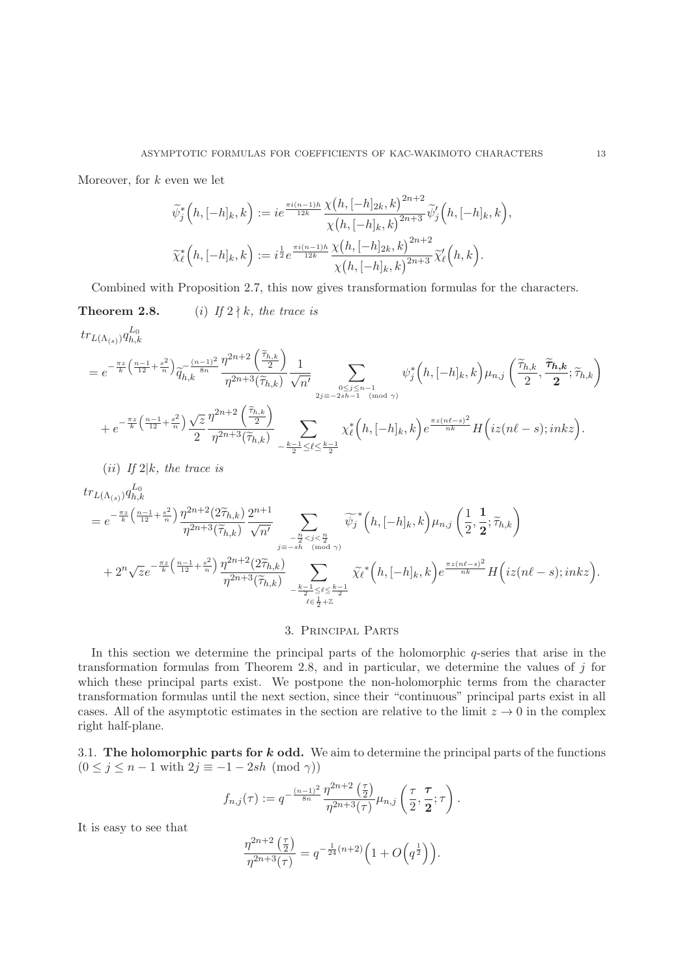Moreover, for  $k$  even we let

$$
\widetilde{\psi}_{j}^{*}\left(h,[-h]_{k},k\right) := ie^{\frac{\pi i(n-1)h}{12k}} \frac{\chi\left(h,[-h]_{2k},k\right)^{2n+2}}{\chi\left(h,[-h]_{k},k\right)^{2n+3}} \widetilde{\psi}_{j}'\left(h,[-h]_{k},k\right),\n\widetilde{\chi}_{\ell}^{*}\left(h,[-h]_{k},k\right) := i^{\frac{1}{2}} e^{\frac{\pi i(n-1)h}{12k}} \frac{\chi\left(h,[-h]_{2k},k\right)^{2n+2}}{\chi\left(h,[-h]_{k},k\right)^{2n+3}} \widetilde{\chi}_{\ell}'\left(h,k\right).
$$

Combined with Proposition 2.7, this now gives transformation formulas for the characters.

**Theorem 2.8.** (i) If  $2 \nmid k$ , the trace is  $\overline{r}$ 

$$
tr_{L(\Lambda_{(s)})} q_{h,k}^{L_0}
$$

$$
=e^{-\frac{\pi z}{k}\left(\frac{n-1}{12}+\frac{s^2}{n}\right)}\widetilde{q}_{h,k}^{-\frac{(n-1)^2}{8n}}\frac{\eta^{2n+2}\left(\frac{\widetilde{\tau}_{h,k}}{2}\right)}{\eta^{2n+3}(\widetilde{\tau}_{h,k})}\frac{1}{\sqrt{n'}}\sum_{\substack{0\leq j\leq n-1\\2j\equiv -2sh-1\pmod{\gamma}\\ }}\psi_j^*\left(h,[-h]_k,k\right)\mu_{n,j}\left(\frac{\widetilde{\tau}_{h,k}}{2},\frac{\widetilde{\tau}_{h,k}}{2};\widetilde{\tau}_{h,k}\right)\\ +e^{-\frac{\pi z}{k}\left(\frac{n-1}{12}+\frac{s^2}{n}\right)}\frac{\sqrt{z}}{2}\frac{\eta^{2n+2}\left(\frac{\widetilde{\tau}_{h,k}}{2}\right)}{\eta^{2n+3}(\widetilde{\tau}_{h,k})}\sum_{-\frac{k-1}{2}\leq \ell\leq \frac{k-1}{2}}\chi_{\ell}^*\left(h,[-h]_k,k\right)e^{\frac{\pi z\left(n\ell-s\right)^2}{nk}}H\left(iz(n\ell-s);inkz\right).
$$

(*ii*) If  $2|k$ , the trace is

 $\mathbf{L}$ 

$$
\begin{split} &tr_{L(\Lambda_{(s)})}q_{h,k}^{L_{0}}\\ &=e^{-\frac{\pi z}{k}\left(\frac{n-1}{12}+\frac{s^{2}}{n}\right)}\frac{\eta^{2n+2}(2\widetilde{\tau}_{h,k})}{\eta^{2n+3}(\widetilde{\tau}_{h,k})}\frac{2^{n+1}}{\sqrt{n'}}\sum_{\substack{-\frac{n}{2}
$$

# 3. Principal Parts

In this section we determine the principal parts of the holomorphic  $q$ -series that arise in the transformation formulas from Theorem 2.8, and in particular, we determine the values of  $j$  for which these principal parts exist. We postpone the non-holomorphic terms from the character transformation formulas until the next section, since their "continuous" principal parts exist in all cases. All of the asymptotic estimates in the section are relative to the limit  $z \to 0$  in the complex right half-plane.

3.1. **The holomorphic parts for** *k* **odd.** We aim to determine the principal parts of the functions  $(0 \le j \le n-1$  with  $2j \equiv -1-2sh \pmod{\gamma}$ 

$$
f_{n,j}(\tau):=q^{-\frac{(n-1)^2}{8n}}\frac{\eta^{2n+2}\left(\frac{\tau}{2}\right)}{\eta^{2n+3}(\tau)}\mu_{n,j}\left(\frac{\tau}{2},\frac{\tau}{2};\tau\right).
$$

It is easy to see that

$$
\frac{\eta^{2n+2}\left(\frac{\tau}{2}\right)}{\eta^{2n+3}(\tau)}=q^{-\frac{1}{24}(n+2)}\Big(1+O\Big(q^{\frac{1}{2}}\Big)\Big).
$$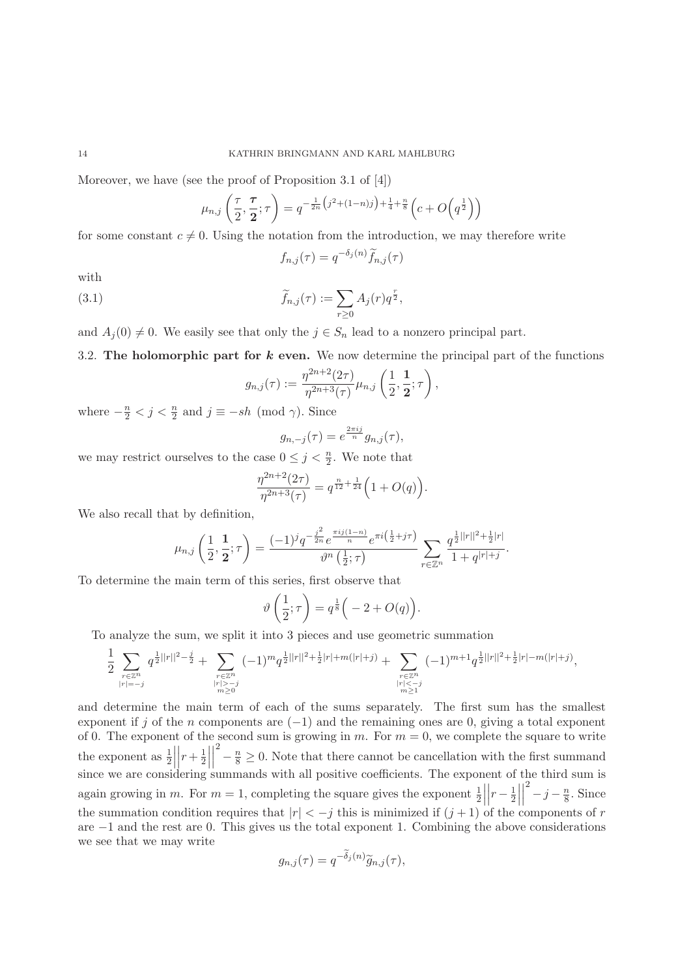Moreover, we have (see the proof of Proposition 3.1 of [4])

$$
\mu_{n,j}\left(\frac{\tau}{2},\frac{\tau}{2};\tau\right) = q^{-\frac{1}{2n}\left(j^2 + (1-n)j\right) + \frac{1}{4} + \frac{n}{8}}\left(c + O\left(q^{\frac{1}{2}}\right)\right)
$$

for some constant  $c \neq 0$ . Using the notation from the introduction, we may therefore write

$$
f_{n,j}(\tau) = q^{-\delta_j(n)} \widetilde{f}_{n,j}(\tau)
$$

with

(3.1) 
$$
\widetilde{f}_{n,j}(\tau) := \sum_{r \geq 0} A_j(r) q^{\frac{r}{2}},
$$

and  $A_i(0) \neq 0$ . We easily see that only the  $j \in S_n$  lead to a nonzero principal part.

3.2. **The holomorphic part for** *k* **even.** We now determine the principal part of the functions

$$
g_{n,j}(\tau) := \frac{\eta^{2n+2}(2\tau)}{\eta^{2n+3}(\tau)} \mu_{n,j} \left(\frac{1}{2}, \frac{1}{2}; \tau\right),\,
$$

where  $-\frac{n}{2} < j < \frac{n}{2}$  and  $j \equiv -sh \pmod{\gamma}$ . Since

$$
g_{n,-j}(\tau) = e^{\frac{2\pi ij}{n}} g_{n,j}(\tau),
$$

we may restrict ourselves to the case  $0 \leq j < \frac{n}{2}$ . We note that

$$
\frac{\eta^{2n+2}(2\tau)}{\eta^{2n+3}(\tau)} = q^{\frac{n}{12} + \frac{1}{24}} \Big( 1 + O(q) \Big).
$$

We also recall that by definition,

$$
\mu_{n,j}\left(\frac{1}{2},\frac{1}{2};\tau\right)=\frac{(-1)^jq^{-\frac{j^2}{2n}}e^{\frac{\pi ij(1-n)}{n}}e^{\pi i\left(\frac{1}{2}+j\tau\right)}}{\vartheta^n\left(\frac{1}{2};\tau\right)}\sum_{r\in\mathbb{Z}^n}\frac{q^{\frac{1}{2}||r||^2+\frac{1}{2}|r|}}{1+q^{|r|+j}}.
$$

To determine the main term of this series, first observe that

$$
\vartheta\left(\frac{1}{2};\tau\right) = q^{\frac{1}{8}} \Big( -2 + O(q) \Big).
$$

To analyze the sum, we split it into 3 pieces and use geometric summation

$$
\frac{1}{2}\sum_{\substack{r\in\mathbb{Z}^n\\ |r|=-j}}q^{\frac{1}{2}||r||^2-\frac{j}{2}}+\sum_{\substack{r\in\mathbb{Z}^n\\ |r|>-j\\ m\geq 0}}(-1)^mq^{\frac{1}{2}||r||^2+\frac{1}{2}|r|+m(|r|+j)}+\sum_{\substack{r\in\mathbb{Z}^n\\ |r|<-j\\ m\geq 1}}(-1)^{m+1}q^{\frac{1}{2}||r||^2+\frac{1}{2}|r|-m(|r|+j)},
$$

and determine the main term of each of the sums separately. The first sum has the smallest exponent if j of the n components are  $(-1)$  and the remaining ones are 0, giving a total exponent of 0. The exponent of the second sum is growing in m. For  $m = 0$ , we complete the square to write the exponent as  $\frac{1}{2} \left| \left| r + \frac{1}{2} \right| \right|$  $\frac{2}{8} - \frac{n}{8} \ge 0$ . Note that there cannot be cancellation with the first summand since we are considering summands with all positive coefficients. The exponent of the third sum is again growing in m. For  $m = 1$ , completing the square gives the exponent  $\frac{1}{2} \left| \left| r - \frac{1}{2} \right| \right|$  $\frac{2}{-j-\frac{n}{8}}$ . Since the summation condition requires that  $|r| < -j$  this is minimized if  $(j + 1)$  of the components of r are −1 and the rest are 0. This gives us the total exponent 1. Combining the above considerations we see that we may write

$$
g_{n,j}(\tau) = q^{-\widetilde{\delta}_j(n)} \widetilde{g}_{n,j}(\tau),
$$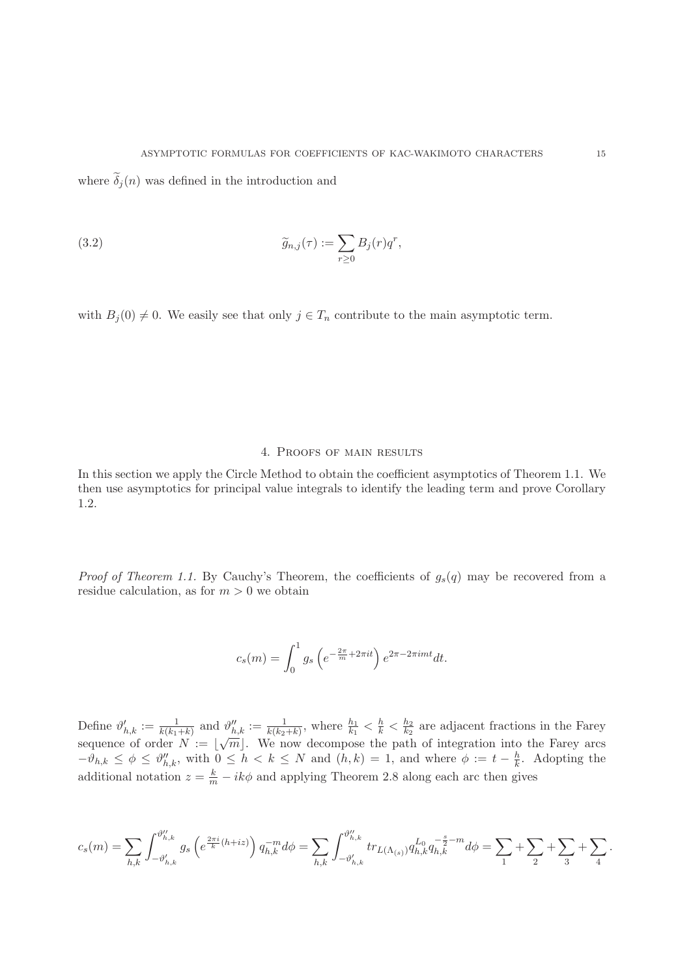where  $\delta_j(n)$  was defined in the introduction and

(3.2) 
$$
\widetilde{g}_{n,j}(\tau) := \sum_{r \geq 0} B_j(r) q^r,
$$

with  $B_j(0) \neq 0$ . We easily see that only  $j \in T_n$  contribute to the main asymptotic term.

## 4. Proofs of main results

In this section we apply the Circle Method to obtain the coefficient asymptotics of Theorem 1.1. We then use asymptotics for principal value integrals to identify the leading term and prove Corollary 1.2.

*Proof of Theorem 1.1.* By Cauchy's Theorem, the coefficients of  $g_s(q)$  may be recovered from a residue calculation, as for  $m > 0$  we obtain

$$
c_s(m) = \int_0^1 g_s\left(e^{-\frac{2\pi}{m} + 2\pi it}\right)e^{2\pi - 2\pi imt}dt.
$$

Define  $\vartheta'_{h,k} := \frac{1}{k(k_1+k)}$  and  $\vartheta''_{h,k} := \frac{1}{k(k_2+k)}$ , where  $\frac{h_1}{k_1} < \frac{h}{k} < \frac{h_2}{k_2}$  are adjacent fractions in the Farey sequence of order  $N := \lfloor \sqrt{m} \rfloor$ . We now decompose the path of integration into the Farey arcs  $-\theta_{h,k} \leq \phi \leq \theta''_{h,k}$ , with  $0 \leq h < k \leq N$  and  $(h,k) = 1$ , and where  $\phi := t - \frac{h}{k}$ . Adopting the additional notation  $z = \frac{k}{m} - ik\phi$  and applying Theorem 2.8 along each arc then gives

$$
c_s(m) = \sum_{h,k} \int_{-\vartheta'_{h,k}}^{\vartheta''_{h,k}} g_s \left( e^{\frac{2\pi i}{k}(h+iz)} \right) q_{h,k}^{-m} d\phi = \sum_{h,k} \int_{-\vartheta'_{h,k}}^{\vartheta''_{h,k}} tr_{L(\Lambda_{(s)})} q_{h,k}^{L_0} q_{h,k}^{-\frac{s}{2} - m} d\phi = \sum_{1} + \sum_{2} + \sum_{3} + \sum_{4}.
$$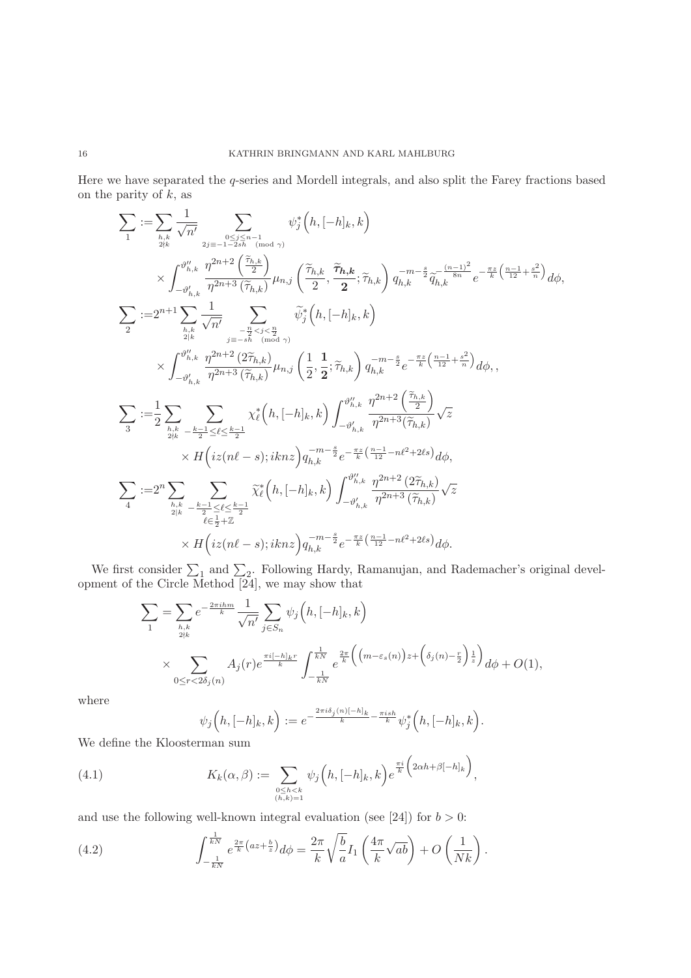Here we have separated the q-series and Mordell integrals, and also split the Farey fractions based on the parity of  $k$ , as

$$
\begin{split} \sum_{1} & \mathop{:=} \sum_{h,k} \frac{1}{\sqrt{n'}} \sum_{2j \equiv -1 - 2 \, j \, h} \psi_j^* \Big( h, [-h]_k, k \Big) \\ & \qquad \times \int_{-\vartheta'_{h,k}}^{\vartheta''_{h,k}} \frac{\eta^{2n+2} \left( \frac{\tilde{\tau}_{h,k}}{2} \right)}{\eta^{2n+3} \left( \tilde{\tau}_{h,k} \right)} \mu_{n,j} \left( \frac{\tilde{\tau}_{h,k}}{2}, \frac{\tilde{\tau}_{h,k}}{2}, \tilde{\tau}_{h,k} \right) q_{h,k}^{-m-\frac{s}{2}} \tilde{q}_{h,k}^{-\frac{(n-1)^2}{8n}} e^{-\frac{\pi z}{k} \left( \frac{n-1}{12} + \frac{s^2}{n} \right)} d\phi , \\ \sum_{2} & \mathop{:=} 2^{n+1} \sum_{h,k} \frac{1}{\sqrt{n'}} \sum_{j \equiv -s \, h \atop j \equiv -s \, h \atop (m \, d \, \alpha)} \tilde{\psi}_j^* \Big( h, [-h]_k, k \Big) \\ & \qquad \times \int_{-\vartheta'_{h,k}}^{\vartheta''_{h,k}} \frac{\eta^{2n+2} \left( 2 \tilde{\tau}_{h,k} \right)}{\eta^{2n+3} \left( \tilde{\tau}_{h,k} \right)} \mu_{n,j} \left( \frac{1}{2}, \frac{1}{2}; \tilde{\tau}_{h,k} \right) q_{h,k}^{-m-\frac{s}{2}} e^{-\frac{\pi z}{k} \left( \frac{n-1}{12} + \frac{s^2}{n} \right)} d\phi , \\ \sum_{3} & \mathop{:=} \frac{1}{2} \sum_{h,k} \sum_{k \geq -\frac{k-1}{2} \leq \ell \leq \frac{k-1}{2}} \chi_\ell^* \Big( h, [-h]_k, k \Big) \int_{-\vartheta'_{h,k}}^{\vartheta''_{h,k}} \frac{\eta^{2n+2} \left( \frac{\tilde{\tau}_{h,k}}{2} \right)}{\eta^{2n+3} \left( \tilde{\tau}_{h,k} \right)} \sqrt{z} \\ & \qquad \times H \Big( iz(n\ell-s); i k n z \Big) q_{h,k}^{-m-\frac{s}{2}} e^{-\frac{\pi z}{k} \left( \frac{n-1}{12} - n\ell^2 + 2\ell s \right
$$

We first consider  $\sum_1$  and  $\sum_2$ . Following Hardy, Ramanujan, and Rademacher's original development of the Circle Method [24], we may show that

$$
\sum_{1} = \sum_{h,k \atop 2\nmid k} e^{-\frac{2\pi i h m}{k}} \frac{1}{\sqrt{n'}} \sum_{j \in S_n} \psi_j \left( h, [-h]_k, k \right)
$$
  
 
$$
\times \sum_{0 \leq r < 2\delta_j(n)} A_j(r) e^{\frac{\pi i [-h]_k r}{k}} \int_{-\frac{1}{kN}}^{\frac{1}{kN}} e^{\frac{2\pi}{k} \left( \left( m - \varepsilon_s(n) \right) z + \left( \delta_j(n) - \frac{r}{2} \right) \frac{1}{z} \right)} d\phi + O(1),
$$

where

$$
\psi_j\Big(h,[-h]_k,k\Big):=e^{-\frac{2\pi i\delta_j(n)[-h]_k}{k}-\frac{\pi i sh}{k}}\psi_j^*\Big(h,[-h]_k,k\Big).
$$

We define the Kloosterman sum

(4.1) 
$$
K_k(\alpha, \beta) := \sum_{\substack{0 \le h < k \\ (h, k) = 1}} \psi_j\left(h, [-h]_k, k\right) e^{\frac{\pi i}{k} \left(2\alpha h + \beta [-h]_k\right)},
$$

and use the following well-known integral evaluation (see [24]) for  $b > 0$ :

(4.2) 
$$
\int_{-\frac{1}{kN}}^{\frac{1}{kN}} e^{\frac{2\pi}{k}(az+\frac{b}{z})} d\phi = \frac{2\pi}{k} \sqrt{\frac{b}{a}} I_1\left(\frac{4\pi}{k}\sqrt{ab}\right) + O\left(\frac{1}{Nk}\right).
$$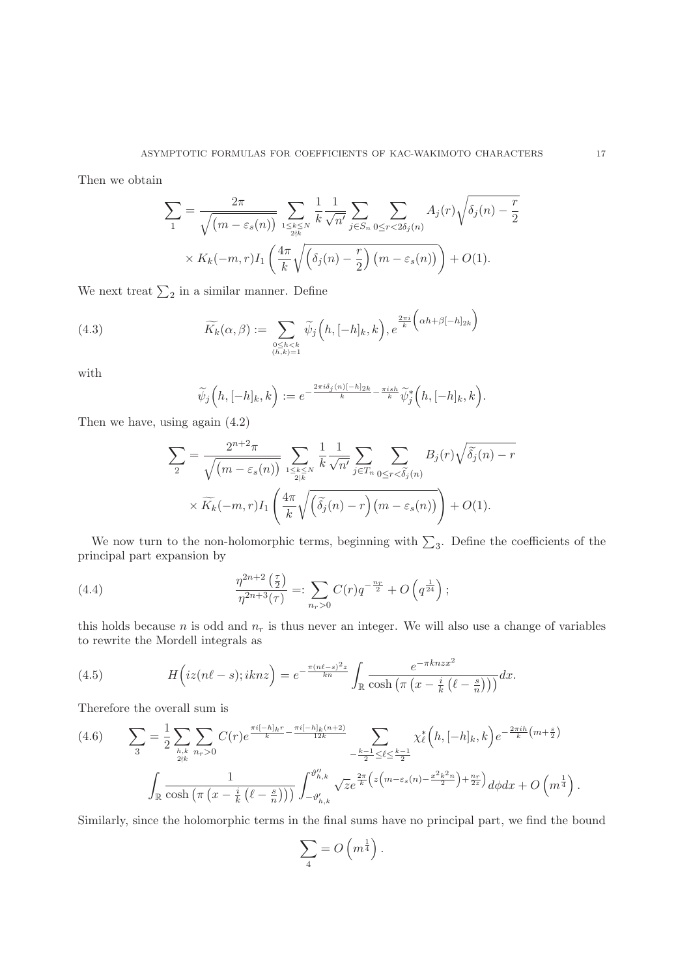Then we obtain

$$
\sum_{1} = \frac{2\pi}{\sqrt{(m - \varepsilon_s(n))}} \sum_{\substack{1 \le k \le N \\ 2\nmid k}} \frac{1}{k} \frac{1}{\sqrt{n'}} \sum_{j \in S_n} \sum_{0 \le r < 2\delta_j(n)} A_j(r) \sqrt{\delta_j(n) - \frac{r}{2}}
$$
\n
$$
\times K_k(-m, r) I_1\left(\frac{4\pi}{k}\sqrt{\left(\delta_j(n) - \frac{r}{2}\right)(m - \varepsilon_s(n))}\right) + O(1).
$$

We next treat  $\sum_2$  in a similar manner. Define

(4.3) 
$$
\widetilde{K}_k(\alpha, \beta) := \sum_{\substack{0 \le h < k \\ (h,k)=1}} \widetilde{\psi}_j\left(h, [-h]_k, k\right), e^{\frac{2\pi i}{k} \left(\alpha h + \beta [-h]_{2k}\right)}
$$

with

$$
\widetilde{\psi}_j\Big(h,[-h]_k,k\Big):=e^{-\frac{2\pi i\delta_j(n)[-h]_{2k}}{k}-\frac{\pi i sh}{k}}\widetilde{\psi}_j^*\Big(h,[-h]_k,k\Big).
$$

Then we have, using again (4.2)

$$
\sum_{2} = \frac{2^{n+2}\pi}{\sqrt{(m-\varepsilon_s(n))}} \sum_{1 \leq k \leq N \atop 2|k} \frac{1}{k} \frac{1}{\sqrt{n'}} \sum_{j \in T_n} \sum_{0 \leq r < \widetilde{\delta_j}(n)} B_j(r) \sqrt{\widetilde{\delta_j}(n) - r}
$$
\n
$$
\times \widetilde{K_k}(-m,r) I_1\left(\frac{4\pi}{k}\sqrt{\left(\widetilde{\delta_j}(n) - r\right)(m-\varepsilon_s(n))}\right) + O(1).
$$

We now turn to the non-holomorphic terms, beginning with  $\sum_3$ . Define the coefficients of the principal part expansion by

(4.4) 
$$
\frac{\eta^{2n+2}(\frac{\tau}{2})}{\eta^{2n+3}(\tau)} =: \sum_{n_r>0} C(r)q^{-\frac{n_r}{2}} + O\left(q^{\frac{1}{24}}\right);
$$

this holds because n is odd and  $n_r$  is thus never an integer. We will also use a change of variables to rewrite the Mordell integrals as

(4.5) 
$$
H\left(iz(n\ell-s);iknz\right) = e^{-\frac{\pi(n\ell-s)^2z}{kn}} \int_{\mathbb{R}} \frac{e^{-\pi knzx^2}}{\cosh\left(\pi\left(x-\frac{i}{k}\left(\ell-\frac{s}{n}\right)\right)\right)}dx.
$$

Therefore the overall sum is

$$
(4.6) \qquad \sum_{3} = \frac{1}{2} \sum_{h,k \atop 2\nmid k} \sum_{n_r>0} C(r) e^{\frac{\pi i[-h]_k r}{k} - \frac{\pi i[-h]_k(n+2)}{12k}} -\frac{k-1}{2} \leq \ell \leq \frac{k-1}{2}} \chi_{\ell}^{*}\left(h, [-h]_k, k\right) e^{-\frac{2\pi i h}{k} \left(m + \frac{s}{2}\right)}
$$

$$
\int_{\mathbb{R}} \frac{1}{\cosh\left(\pi \left(x - \frac{i}{k}\left(\ell - \frac{s}{n}\right)\right)\right)} \int_{-\vartheta'_{h,k}}^{\vartheta''_{h,k}} \sqrt{z} e^{\frac{2\pi}{k} \left(z\left(m - \varepsilon s\left(n\right) - \frac{x^{2}k^{2}n}{2}\right) + \frac{n_{r}}{2z}} d\varphi dx + O\left(m^{\frac{1}{4}}\right).
$$

Similarly, since the holomorphic terms in the final sums have no principal part, we find the bound

$$
\sum_{4} = O\left(m^{\frac{1}{4}}\right).
$$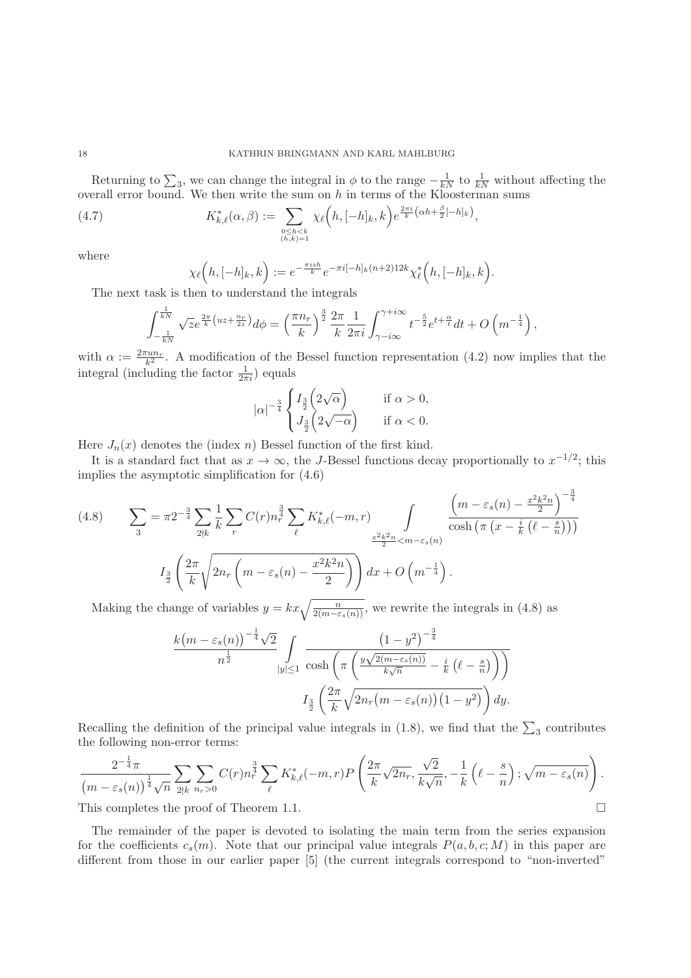Returning to  $\sum_3$ , we can change the integral in  $\phi$  to the range  $-\frac{1}{kN}$  to  $\frac{1}{kN}$  without affecting the overall error bound. We then write the sum on  $h$  in terms of the Kloosterman sums

(4.7) 
$$
K_{k,\ell}^*(\alpha,\beta) := \sum_{\substack{0 \le h < k \\ (h,k)=1}} \chi_{\ell}(h,[-h]_k,k) e^{\frac{2\pi i}{k}(\alpha h + \frac{\beta}{2}[-h]_k)},
$$

where

$$
\chi_{\ell}\left(h,[-h]_k,k\right) := e^{-\frac{\pi i sh}{k}} e^{-\pi i [-h]_k (n+2) 12k} \chi_{\ell}^*\left(h,[-h]_k,k\right).
$$

The next task is then to understand the integrals

$$
\int_{-\frac{1}{kN}}^{\frac{1}{kN}} \sqrt{z} e^{\frac{2\pi}{k} \left( uz + \frac{n_r}{2z} \right)} d\phi = \left( \frac{\pi n_r}{k} \right)^{\frac{3}{2}} \frac{2\pi}{k} \frac{1}{2\pi i} \int_{\gamma - i\infty}^{\gamma + i\infty} t^{-\frac{5}{2}} e^{t + \frac{\alpha}{t}} dt + O\left( m^{-\frac{1}{4}} \right),
$$

with  $\alpha := \frac{2\pi u n_r}{k^2}$ . A modification of the Bessel function representation (4.2) now implies that the integral (including the factor  $\frac{1}{2\pi i}$ ) equals

$$
|\alpha|^{-\frac{3}{4}} \begin{cases} I_{\frac{3}{2}}\left(2\sqrt{\alpha}\right) & \text{if } \alpha > 0, \\ J_{\frac{3}{2}}\left(2\sqrt{-\alpha}\right) & \text{if } \alpha < 0. \end{cases}
$$

Here  $J_n(x)$  denotes the (index n) Bessel function of the first kind.

It is a standard fact that as  $x \to \infty$ , the J-Bessel functions decay proportionally to  $x^{-1/2}$ ; this implies the asymptotic simplification for (4.6)

(4.8) 
$$
\sum_{3} = \pi 2^{-\frac{3}{4}} \sum_{2 \nmid k} \frac{1}{k} \sum_{r} C(r) n_{r}^{\frac{3}{4}} \sum_{\ell} K_{k,\ell}^{*}(-m,r) \int_{\frac{x^{2}k^{2}n}{2} < m - \varepsilon_{s}(n)} \frac{\left(m - \varepsilon_{s}(n) - \frac{x^{2}k^{2}n}{2}\right)^{-\frac{3}{4}}}{\cosh\left(\pi \left(x - \frac{i}{k}\left(\ell - \frac{s}{n}\right)\right)\right)}
$$

$$
I_{\frac{3}{2}}\left(\frac{2\pi}{k} \sqrt{2n_{r}\left(m - \varepsilon_{s}(n) - \frac{x^{2}k^{2}n}{2}\right)}\right) dx + O\left(m^{-\frac{1}{4}}\right).
$$

Making the change of variables  $y = kx \sqrt{\frac{n}{2(m-\varepsilon_s(n))}}$ , we rewrite the integrals in (4.8) as

$$
\frac{k(m-\varepsilon_s(n))^{-\frac{1}{4}}\sqrt{2}}{n^{\frac{1}{2}}}\int\limits_{|y|\leq 1}\frac{\left(1-y^2\right)^{-\frac{3}{4}}}{\cosh\left(\pi\left(\frac{y\sqrt{2(m-\varepsilon_s(n))}}{k\sqrt{n}}-\frac{i}{k}\left(\ell-\frac{s}{n}\right)\right)\right)}
$$

$$
I_{\frac{3}{2}}\left(\frac{2\pi}{k}\sqrt{2n_r(m-\varepsilon_s(n))\left(1-y^2\right)}\right)dy.
$$

Recalling the definition of the principal value integrals in (1.8), we find that the  $\sum_3$  contributes the following non-error terms:

$$
\frac{2^{-\frac{1}{4}}\pi}{\left(m-\varepsilon_s(n)\right)^{\frac{1}{4}}\sqrt{n}}\sum_{2\nmid k}\sum_{n_r>0}C(r)n_r^{\frac{3}{4}}\sum_{\ell}K_{k,\ell}^*(-m,r)P\left(\frac{2\pi}{k}\sqrt{2n_r},\frac{\sqrt{2}}{k\sqrt{n}},-\frac{1}{k}\left(\ell-\frac{s}{n}\right);\sqrt{m-\varepsilon_s(n)}\right).
$$
\nThis completes the proof of Theorem 1.1.

This completes the proof of Theorem 1.1.

The remainder of the paper is devoted to isolating the main term from the series expansion for the coefficients  $c_s(m)$ . Note that our principal value integrals  $P(a, b, c; M)$  in this paper are different from those in our earlier paper [5] (the current integrals correspond to "non-inverted"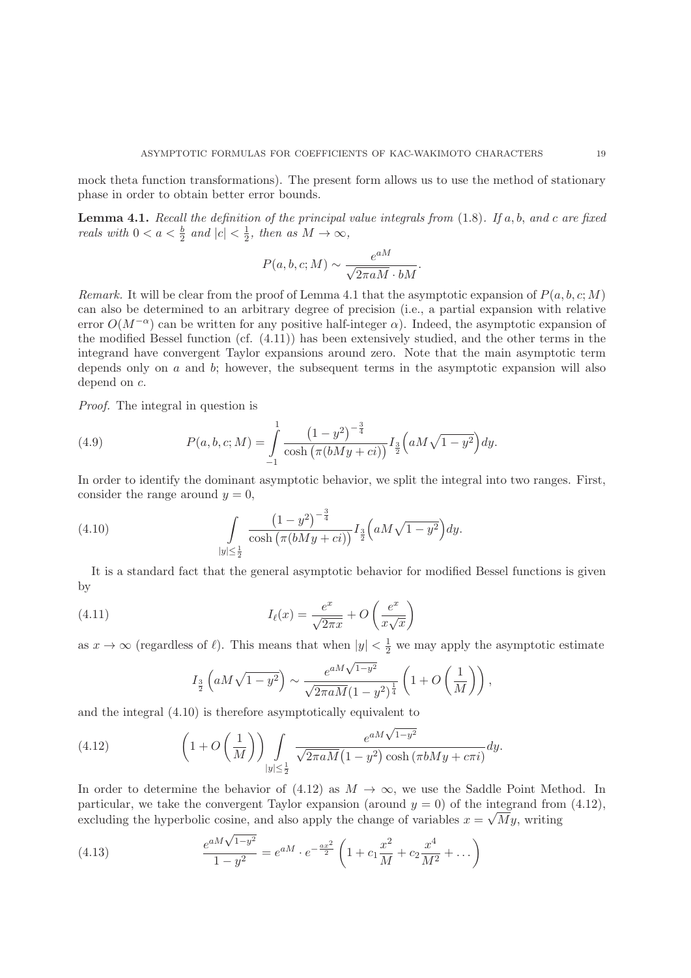mock theta function transformations). The present form allows us to use the method of stationary phase in order to obtain better error bounds.

**Lemma 4.1.** Recall the definition of the principal value integrals from  $(1.8)$ . If  $a, b,$  and  $c$  are fixed reals with  $0 < a < \frac{b}{2}$  and  $|c| < \frac{1}{2}$ , then as  $M \to \infty$ ,

$$
P(a, b, c; M) \sim \frac{e^{aM}}{\sqrt{2\pi aM} \cdot bM}.
$$

Remark. It will be clear from the proof of Lemma 4.1 that the asymptotic expansion of  $P(a, b, c; M)$ can also be determined to an arbitrary degree of precision (i.e., a partial expansion with relative error  $O(M^{-\alpha})$  can be written for any positive half-integer  $\alpha$ ). Indeed, the asymptotic expansion of the modified Bessel function (cf. (4.11)) has been extensively studied, and the other terms in the integrand have convergent Taylor expansions around zero. Note that the main asymptotic term depends only on  $a$  and  $b$ ; however, the subsequent terms in the asymptotic expansion will also depend on c.

Proof. The integral in question is

(4.9) 
$$
P(a, b, c; M) = \int_{-1}^{1} \frac{(1 - y^2)^{-\frac{3}{4}}}{\cosh(\pi(bMy + ci))} I_{\frac{3}{2}}(aM\sqrt{1 - y^2}) dy.
$$

In order to identify the dominant asymptotic behavior, we split the integral into two ranges. First, consider the range around  $y = 0$ ,

(4.10) 
$$
\int\limits_{|y|\leq \frac{1}{2}} \frac{\left(1-y^2\right)^{-\frac{3}{4}}}{\cosh\left(\pi(bMy+ci)\right)} I_{\frac{3}{2}}\left(aM\sqrt{1-y^2}\right) dy.
$$

It is a standard fact that the general asymptotic behavior for modified Bessel functions is given by

(4.11) 
$$
I_{\ell}(x) = \frac{e^x}{\sqrt{2\pi x}} + O\left(\frac{e^x}{x\sqrt{x}}\right)
$$

as  $x \to \infty$  (regardless of  $\ell$ ). This means that when  $|y| < \frac{1}{2}$  we may apply the asymptotic estimate

$$
I_{\frac{3}{2}}\left(aM\sqrt{1-y^2}\right) \sim \frac{e^{aM\sqrt{1-y^2}}}{\sqrt{2\pi aM}(1-y^2)^{\frac{1}{4}}}\left(1+O\left(\frac{1}{M}\right)\right),
$$

and the integral (4.10) is therefore asymptotically equivalent to

(4.12) 
$$
\left(1+O\left(\frac{1}{M}\right)\right)\int\limits_{|y|\leq\frac{1}{2}}\frac{e^{aM\sqrt{1-y^2}}}{\sqrt{2\pi aM}(1-y^2)\cosh\left(\pi bMy+c\pi i\right)}dy.
$$

In order to determine the behavior of  $(4.12)$  as  $M \to \infty$ , we use the Saddle Point Method. In particular, we take the convergent Taylor expansion (around  $y = 0$ ) of the integrand from (4.12), excluding the hyperbolic cosine, and also apply the change of variables  $x = \sqrt{M}y$ , writing

(4.13) 
$$
\frac{e^{aM\sqrt{1-y^2}}}{1-y^2} = e^{aM} \cdot e^{-\frac{ax^2}{2}} \left(1 + c_1 \frac{x^2}{M} + c_2 \frac{x^4}{M^2} + \dots\right)
$$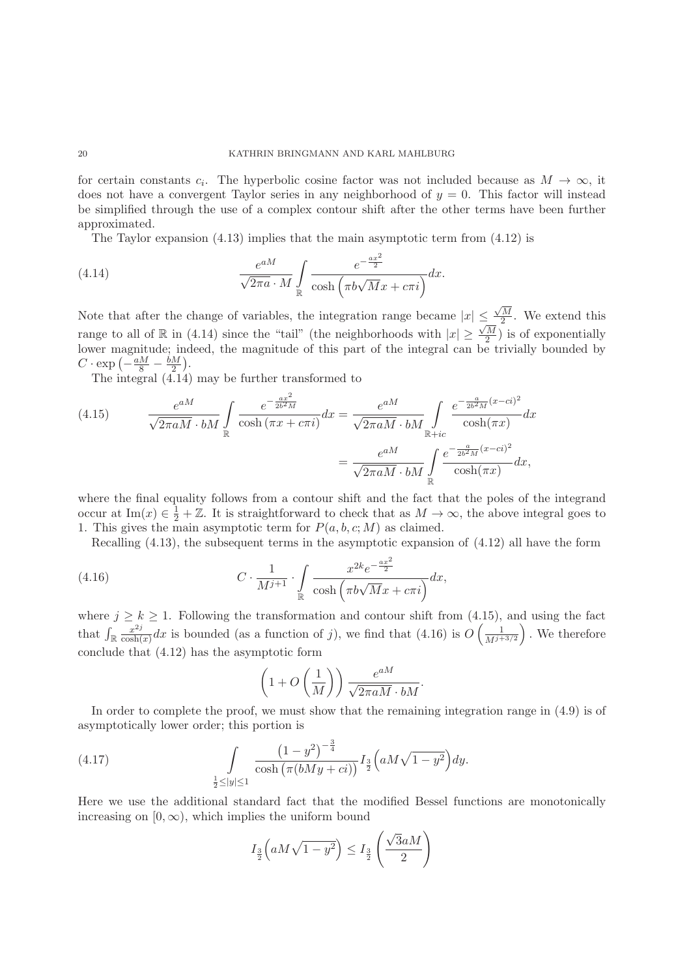for certain constants  $c_i$ . The hyperbolic cosine factor was not included because as  $M \to \infty$ , it does not have a convergent Taylor series in any neighborhood of  $y = 0$ . This factor will instead be simplified through the use of a complex contour shift after the other terms have been further approximated.

The Taylor expansion  $(4.13)$  implies that the main asymptotic term from  $(4.12)$  is

(4.14) 
$$
\frac{e^{aM}}{\sqrt{2\pi a} \cdot M} \int_{\mathbb{R}} \frac{e^{-\frac{ax^2}{2}}}{\cosh(\pi b \sqrt{M}x + c\pi i)} dx.
$$

Note that after the change of variables, the integration range became  $|x| \leq \frac{\sqrt{M}}{2}$ . We extend this range to all of R in (4.14) since the "tail" (the neighborhoods with  $|x| \geq \frac{\sqrt{M}}{2}$ ) is of exponentially lower magnitude; indeed, the magnitude of this part of the integral can be trivially bounded by  $C \cdot \exp\left(-\frac{aM}{8} - \frac{bM}{2}\right)$ .

The integral (4.14) may be further transformed to

(4.15) 
$$
\frac{e^{aM}}{\sqrt{2\pi aM} \cdot bM} \int_{\mathbb{R}} \frac{e^{-\frac{ax^2}{2b^2M}}}{\cosh(\pi x + c\pi i)} dx = \frac{e^{aM}}{\sqrt{2\pi aM} \cdot bM} \int_{\mathbb{R}+ic} \frac{e^{-\frac{a}{2b^2M}(x-ci)^2}}{\cosh(\pi x)} dx
$$

$$
= \frac{e^{aM}}{\sqrt{2\pi aM} \cdot bM} \int_{\mathbb{R}} \frac{e^{-\frac{a}{2b^2M}(x-ci)^2}}{\cosh(\pi x)} dx,
$$

where the final equality follows from a contour shift and the fact that the poles of the integrand occur at Im(x)  $\in \frac{1}{2} + \mathbb{Z}$ . It is straightforward to check that as  $M \to \infty$ , the above integral goes to 1. This gives the main asymptotic term for  $P(a, b, c; M)$  as claimed.

Recalling (4.13), the subsequent terms in the asymptotic expansion of (4.12) all have the form

(4.16) 
$$
C \cdot \frac{1}{M^{j+1}} \cdot \int_{\mathbb{R}} \frac{x^{2k} e^{-\frac{ax^2}{2}}}{\cosh\left(\pi b \sqrt{M} x + c\pi i\right)} dx,
$$

where  $j \geq k \geq 1$ . Following the transformation and contour shift from (4.15), and using the fact that  $\int_{\mathbb{R}} \frac{x^{2j}}{\cosh(x)} dx$  is bounded (as a function of j), we find that (4.16) is  $O\left(\frac{1}{M^{j+1}}\right)$  $M^{j+3/2}$  . We therefore conclude that (4.12) has the asymptotic form

$$
\left(1+O\left(\frac{1}{M}\right)\right)\frac{e^{aM}}{\sqrt{2\pi aM}\cdot bM}.
$$

In order to complete the proof, we must show that the remaining integration range in (4.9) is of asymptotically lower order; this portion is

(4.17) 
$$
\int_{\frac{1}{2} \le |y| \le 1} \frac{\left(1 - y^2\right)^{-\frac{3}{4}}}{\cosh\left(\pi (bMy + ci)\right)} I_{\frac{3}{2}}\left(aM\sqrt{1 - y^2}\right) dy.
$$

Here we use the additional standard fact that the modified Bessel functions are monotonically increasing on  $[0, \infty)$ , which implies the uniform bound

$$
I_{\frac{3}{2}}\left(aM\sqrt{1-y^2}\right) \le I_{\frac{3}{2}}\left(\frac{\sqrt{3}aM}{2}\right)
$$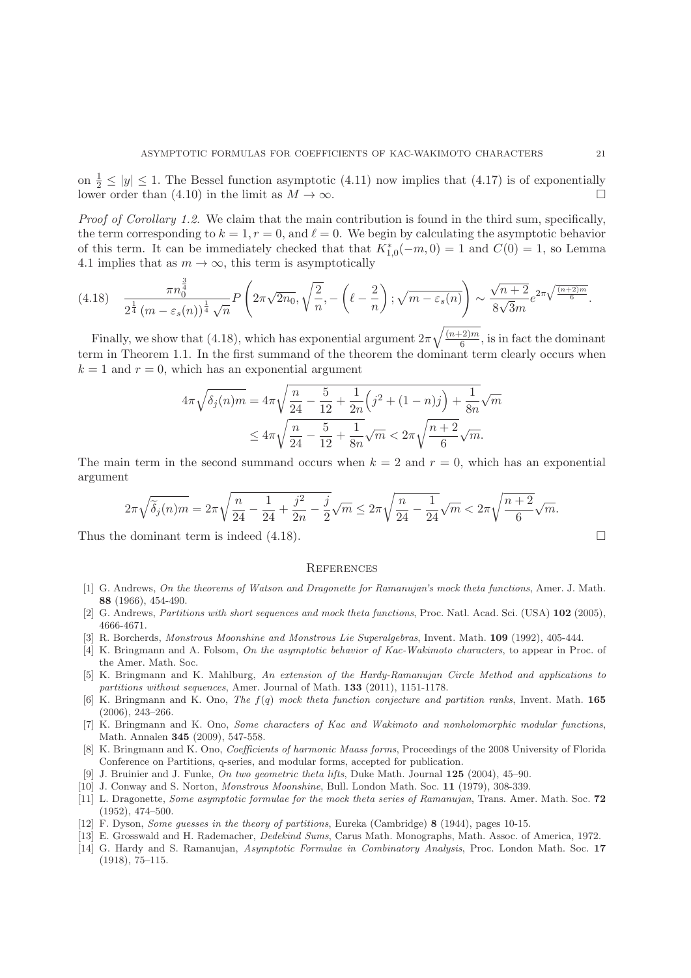on  $\frac{1}{2} \le |y| \le 1$ . The Bessel function asymptotic (4.11) now implies that (4.17) is of exponentially lower order than (4.10) in the limit as  $M \to \infty$ .

Proof of Corollary 1.2. We claim that the main contribution is found in the third sum, specifically, the term corresponding to  $k = 1, r = 0$ , and  $\ell = 0$ . We begin by calculating the asymptotic behavior of this term. It can be immediately checked that that  $K_{1,0}^{*}(-m,0) = 1$  and  $C(0) = 1$ , so Lemma 4.1 implies that as  $m \to \infty$ , this term is asymptotically

$$
(4.18) \quad \frac{\pi n_0^{\frac{3}{4}}}{2^{\frac{1}{4}} \left(m - \varepsilon_s(n)\right)^{\frac{1}{4}} \sqrt{n}} P\left(2\pi\sqrt{2n_0}, \sqrt{\frac{2}{n}}, -\left(\ell - \frac{2}{n}\right); \sqrt{m - \varepsilon_s(n)}\right) \sim \frac{\sqrt{n+2}}{8\sqrt{3}m} e^{2\pi\sqrt{\frac{(n+2)m}{6}}}.
$$

Finally, we show that (4.18), which has exponential argument  $2\pi\sqrt{\frac{(n+2)m}{6}}$ , is in fact the dominant term in Theorem 1.1. In the first summand of the theorem the dominant term clearly occurs when  $k = 1$  and  $r = 0$ , which has an exponential argument

$$
4\pi\sqrt{\delta_j(n)m} = 4\pi\sqrt{\frac{n}{24} - \frac{5}{12} + \frac{1}{2n}\left(j^2 + (1-n)j\right) + \frac{1}{8n}}\sqrt{m}
$$
  

$$
\leq 4\pi\sqrt{\frac{n}{24} - \frac{5}{12} + \frac{1}{8n}}\sqrt{m} < 2\pi\sqrt{\frac{n+2}{6}}\sqrt{m}.
$$

The main term in the second summand occurs when  $k = 2$  and  $r = 0$ , which has an exponential argument

$$
2\pi\sqrt{\tilde{\delta}_j(n)m} = 2\pi\sqrt{\frac{n}{24} - \frac{1}{24} + \frac{j^2}{2n} - \frac{j}{2}}\sqrt{m} \le 2\pi\sqrt{\frac{n}{24} - \frac{1}{24}}\sqrt{m} < 2\pi\sqrt{\frac{n+2}{6}}\sqrt{m}.
$$

Thus the dominant term is indeed  $(4.18)$ .

#### **REFERENCES**

- [1] G. Andrews, On the theorems of Watson and Dragonette for Ramanujan's mock theta functions, Amer. J. Math. **88** (1966), 454-490.
- [2] G. Andrews, Partitions with short sequences and mock theta functions, Proc. Natl. Acad. Sci. (USA) **102** (2005), 4666-4671.
- [3] R. Borcherds, Monstrous Moonshine and Monstrous Lie Superalgebras, Invent. Math. **109** (1992), 405-444.
- [4] K. Bringmann and A. Folsom, On the asymptotic behavior of Kac-Wakimoto characters, to appear in Proc. of the Amer. Math. Soc.
- [5] K. Bringmann and K. Mahlburg, An extension of the Hardy-Ramanujan Circle Method and applications to partitions without sequences, Amer. Journal of Math. **133** (2011), 1151-1178.
- [6] K. Bringmann and K. Ono, The f(q) mock theta function conjecture and partition ranks, Invent. Math. **165** (2006), 243–266.
- [7] K. Bringmann and K. Ono, Some characters of Kac and Wakimoto and nonholomorphic modular functions, Math. Annalen **345** (2009), 547-558.
- [8] K. Bringmann and K. Ono, Coefficients of harmonic Maass forms, Proceedings of the 2008 University of Florida Conference on Partitions, q-series, and modular forms, accepted for publication.
- [9] J. Bruinier and J. Funke, On two geometric theta lifts, Duke Math. Journal **125** (2004), 45–90.
- [10] J. Conway and S. Norton, Monstrous Moonshine, Bull. London Math. Soc. **11** (1979), 308-339.
- [11] L. Dragonette, Some asymptotic formulae for the mock theta series of Ramanujan, Trans. Amer. Math. Soc. **72** (1952), 474–500.
- [12] F. Dyson, Some guesses in the theory of partitions, Eureka (Cambridge) **8** (1944), pages 10-15.
- [13] E. Grosswald and H. Rademacher, Dedekind Sums, Carus Math. Monographs, Math. Assoc. of America, 1972.
- [14] G. Hardy and S. Ramanujan, Asymptotic Formulae in Combinatory Analysis, Proc. London Math. Soc. **17** (1918), 75–115.

 $\Box$